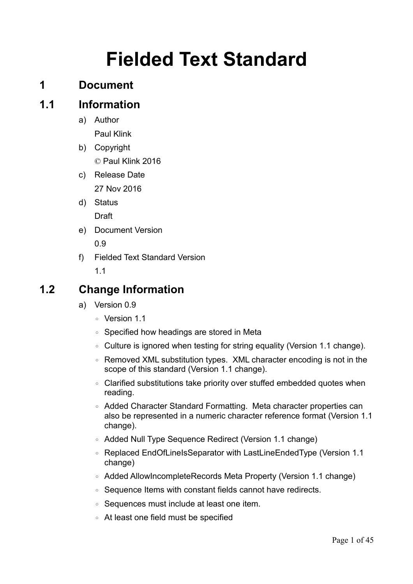# **Fielded Text Standard**

# **1 Document**

# **1.1 Information**

a) Author

Paul Klink

- b) Copyright © Paul Klink 2016
- c) Release Date 27 Nov 2016
- d) Status Draft
- e) Document Version 0.9
- f) Fielded Text Standard Version 1.1

# **1.2 Change Information**

- a) Version 0.9
	- Version 1.1
	- Specified how headings are stored in Meta
	- Culture is ignored when testing for string equality (Version 1.1 change).
	- Removed XML substitution types. XML character encoding is not in the scope of this standard (Version 1.1 change).
	- Clarified substitutions take priority over stuffed embedded quotes when reading.
	- Added Character Standard Formatting. Meta character properties can also be represented in a numeric character reference format (Version 1.1 change).
	- Added Null Type Sequence Redirect (Version 1.1 change)
	- Replaced EndOfLineIsSeparator with LastLineEndedType (Version 1.1 change)
	- Added AllowIncompleteRecords Meta Property (Version 1.1 change)
	- Sequence Items with constant fields cannot have redirects.
	- Sequences must include at least one item.
	- At least one field must be specified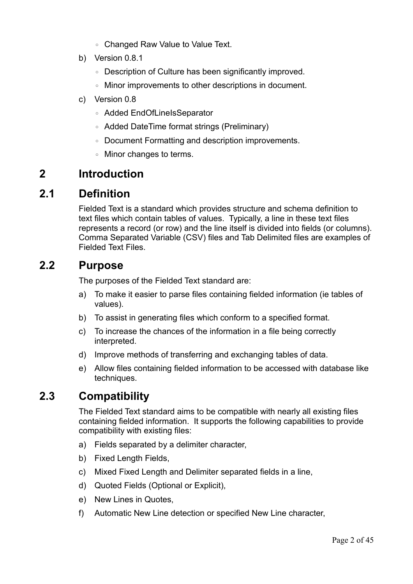- Changed Raw Value to Value Text.
- b) Version 0.8.1
	- Description of Culture has been significantly improved.
	- Minor improvements to other descriptions in document.
- c) Version 0.8
	- Added EndOfLineIsSeparator
	- Added DateTime format strings (Preliminary)
	- Document Formatting and description improvements.
	- Minor changes to terms.

# **2 Introduction**

# **2.1 Definition**

Fielded Text is a standard which provides structure and schema definition to text files which contain tables of values. Typically, a line in these text files represents a record (or row) and the line itself is divided into fields (or columns). Comma Separated Variable (CSV) files and Tab Delimited files are examples of Fielded Text Files.

### **2.2 Purpose**

The purposes of the Fielded Text standard are:

- a) To make it easier to parse files containing fielded information (ie tables of values).
- b) To assist in generating files which conform to a specified format.
- c) To increase the chances of the information in a file being correctly interpreted.
- d) Improve methods of transferring and exchanging tables of data.
- e) Allow files containing fielded information to be accessed with database like techniques.

# **2.3 Compatibility**

The Fielded Text standard aims to be compatible with nearly all existing files containing fielded information. It supports the following capabilities to provide compatibility with existing files:

- a) Fields separated by a delimiter character,
- b) Fixed Length Fields,
- c) Mixed Fixed Length and Delimiter separated fields in a line,
- d) Quoted Fields (Optional or Explicit),
- e) New Lines in Quotes,
- f) Automatic New Line detection or specified New Line character,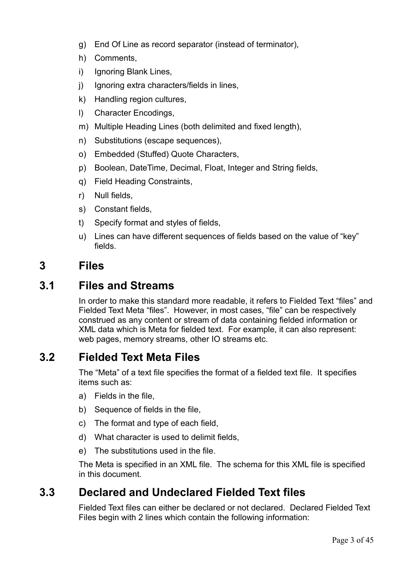- g) End Of Line as record separator (instead of terminator),
- h) Comments,
- i) Ignoring Blank Lines,
- j) Ignoring extra characters/fields in lines,
- k) Handling region cultures,
- l) Character Encodings,
- m) Multiple Heading Lines (both delimited and fixed length),
- n) Substitutions (escape sequences),
- o) Embedded (Stuffed) Quote Characters,
- p) Boolean, DateTime, Decimal, Float, Integer and String fields,
- q) Field Heading Constraints,
- r) Null fields,
- s) Constant fields,
- t) Specify format and styles of fields,
- u) Lines can have different sequences of fields based on the value of "key" fields.

# **3 Files**

# **3.1 Files and Streams**

In order to make this standard more readable, it refers to Fielded Text "files" and Fielded Text Meta "files". However, in most cases, "file" can be respectively construed as any content or stream of data containing fielded information or XML data which is Meta for fielded text. For example, it can also represent: web pages, memory streams, other IO streams etc.

# **3.2 Fielded Text Meta Files**

The "Meta" of a text file specifies the format of a fielded text file. It specifies items such as:

- a) Fields in the file,
- b) Sequence of fields in the file,
- c) The format and type of each field,
- d) What character is used to delimit fields,
- e) The substitutions used in the file.

The Meta is specified in an XML file. The schema for this XML file is specified in this document.

# **3.3 Declared and Undeclared Fielded Text files**

Fielded Text files can either be declared or not declared. Declared Fielded Text Files begin with 2 lines which contain the following information: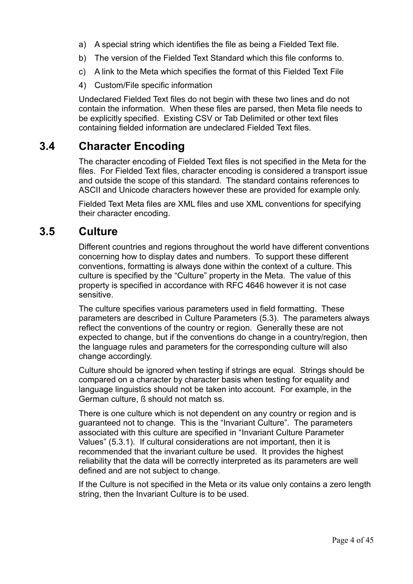- a) A special string which identifies the file as being a Fielded Text file.
- b) The version of the Fielded Text Standard which this file conforms to.
- c) A link to the Meta which specifies the format of this Fielded Text File
- 4) Custom/File specific information

Undeclared Fielded Text files do not begin with these two lines and do not contain the information. When these files are parsed, then Meta file needs to be explicitly specified. Existing CSV or Tab Delimited or other text files containing fielded information are undeclared Fielded Text files.

# **3.4 Character Encoding**

The character encoding of Fielded Text files is not specified in the Meta for the files. For Fielded Text files, character encoding is considered a transport issue and outside the scope of this standard. The standard contains references to ASCII and Unicode characters however these are provided for example only.

Fielded Text Meta files are XML files and use XML conventions for specifying their character encoding.

### **3.5 Culture**

Different countries and regions throughout the world have different conventions concerning how to display dates and numbers. To support these different conventions, formatting is always done within the context of a culture. This culture is specified by the "Culture" property in the Meta. The value of this property is specified in accordance with RFC 4646 however it is not case sensitive.

The culture specifies various parameters used in field formatting. These parameters are described in [Culture Parameters \(5.3\)](#page-36-0). The parameters always reflect the conventions of the country or region. Generally these are not expected to change, but if the conventions do change in a country/region, then the language rules and parameters for the corresponding culture will also change accordingly.

Culture should be ignored when testing if strings are equal. Strings should be compared on a character by character basis when testing for equality and language linguistics should not be taken into account. For example, in the German culture, ß should not match ss.

There is one culture which is not dependent on any country or region and is guaranteed not to change. This is the "Invariant Culture". The parameters associated with this culture are specified in "[Invariant Culture Parameter](#page-36-1)  [Values"](#page-36-1) [\(5.3.1\)](#page-36-1). If cultural considerations are not important, then it is recommended that the invariant culture be used. It provides the highest reliability that the data will be correctly interpreted as its parameters are well defined and are not subject to change.

If the Culture is not specified in the Meta or its value only contains a zero length string, then the Invariant Culture is to be used.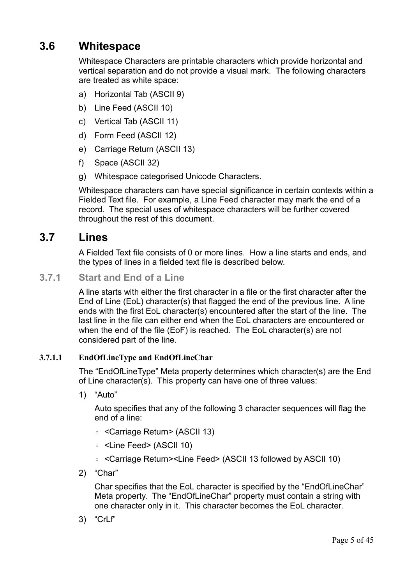# **3.6 Whitespace**

Whitespace Characters are printable characters which provide horizontal and vertical separation and do not provide a visual mark. The following characters are treated as white space:

- a) Horizontal Tab (ASCII 9)
- b) Line Feed (ASCII 10)
- c) Vertical Tab (ASCII 11)
- d) Form Feed (ASCII 12)
- e) Carriage Return (ASCII 13)
- f) Space (ASCII 32)
- g) Whitespace categorised Unicode Characters.

Whitespace characters can have special significance in certain contexts within a Fielded Text file. For example, a Line Feed character may mark the end of a record. The special uses of whitespace characters will be further covered throughout the rest of this document.

### **3.7 Lines**

A Fielded Text file consists of 0 or more lines. How a line starts and ends, and the types of lines in a fielded text file is described below.

**3.7.1 Start and End of a Line**

A line starts with either the first character in a file or the first character after the End of Line (EoL) character(s) that flagged the end of the previous line. A line ends with the first EoL character(s) encountered after the start of the line. The last line in the file can either end when the EoL characters are encountered or when the end of the file (EoF) is reached. The EoL character(s) are not considered part of the line.

#### **3.7.1.1 EndOfLineType and EndOfLineChar**

The "EndOfLineType" Meta property determines which character(s) are the End of Line character(s). This property can have one of three values:

1) "Auto"

Auto specifies that any of the following 3 character sequences will flag the end of a line:

- <Carriage Return> (ASCII 13)
- <Line Feed> (ASCII 10)
- <Carriage Return><Line Feed> (ASCII 13 followed by ASCII 10)
- 2) "Char"

Char specifies that the EoL character is specified by the "EndOfLineChar" Meta property. The "EndOfLineChar" property must contain a string with one character only in it. This character becomes the EoL character.

3) "CrLf"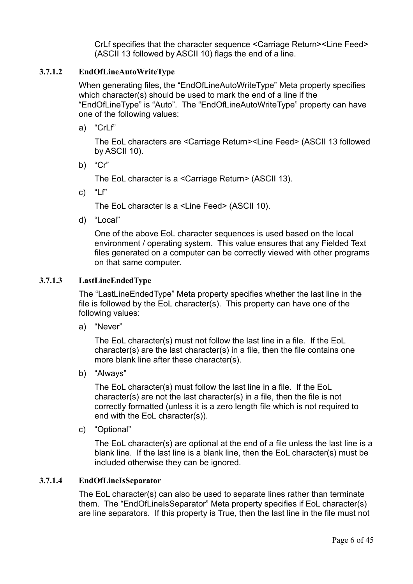CrLf specifies that the character sequence <Carriage Return><Line Feed> (ASCII 13 followed by ASCII 10) flags the end of a line.

#### **3.7.1.2 EndOfLineAutoWriteType**

When generating files, the "EndOfLineAutoWriteType" Meta property specifies which character(s) should be used to mark the end of a line if the "EndOfLineType" is "Auto". The "EndOfLineAutoWriteType" property can have one of the following values:

a) "CrLf"

The EoL characters are <Carriage Return><Line Feed> (ASCII 13 followed by ASCII 10).

b) "Cr"

The EoL character is a <Carriage Return> (ASCII 13).

c) "Lf"

The EoL character is a <Line Feed> (ASCII 10).

d) "Local"

One of the above EoL character sequences is used based on the local environment / operating system. This value ensures that any Fielded Text files generated on a computer can be correctly viewed with other programs on that same computer.

#### **3.7.1.3 LastLineEndedType**

<span id="page-5-0"></span>The "LastLineEndedType" Meta property specifies whether the last line in the file is followed by the EoL character(s). This property can have one of the following values:

a) "Never"

The EoL character(s) must not follow the last line in a file. If the EoL character(s) are the last character(s) in a file, then the file contains one more blank line after these character(s).

b) "Always"

The EoL character(s) must follow the last line in a file. If the EoL character(s) are not the last character(s) in a file, then the file is not correctly formatted (unless it is a zero length file which is not required to end with the EoL character(s)).

c) "Optional"

The EoL character(s) are optional at the end of a file unless the last line is a blank line. If the last line is a blank line, then the EoL character(s) must be included otherwise they can be ignored.

#### **3.7.1.4 EndOfLineIsSeparator**

The EoL character(s) can also be used to separate lines rather than terminate them. The "EndOfLineIsSeparator" Meta property specifies if EoL character(s) are line separators. If this property is True, then the last line in the file must not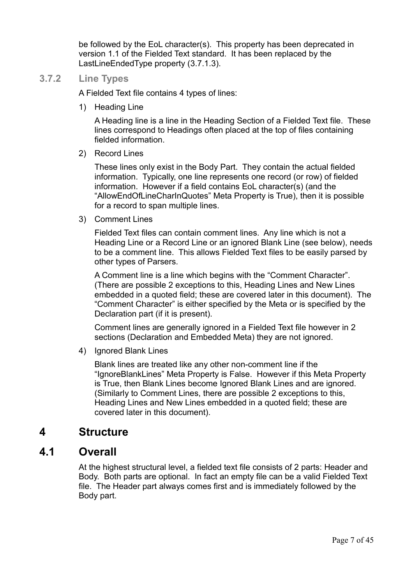be followed by the EoL character(s). This property has been deprecated in version 1.1 of the Fielded Text standard. It has been replaced by the LastLineEndedType property [\(3.7.1.3\)](#page-5-0).

#### **3.7.2 Line Types**

A Fielded Text file contains 4 types of lines:

1) Heading Line

A Heading line is a line in the Heading Section of a Fielded Text file. These lines correspond to Headings often placed at the top of files containing fielded information.

2) Record Lines

These lines only exist in the Body Part. They contain the actual fielded information. Typically, one line represents one record (or row) of fielded information. However if a field contains EoL character(s) (and the "AllowEndOfLineCharInQuotes" Meta Property is True), then it is possible for a record to span multiple lines.

3) Comment Lines

Fielded Text files can contain comment lines. Any line which is not a Heading Line or a Record Line or an ignored Blank Line (see below), needs to be a comment line. This allows Fielded Text files to be easily parsed by other types of Parsers.

A Comment line is a line which begins with the "Comment Character". (There are possible 2 exceptions to this, Heading Lines and New Lines embedded in a quoted field; these are covered later in this document). The "Comment Character" is either specified by the Meta or is specified by the Declaration part (if it is present).

Comment lines are generally ignored in a Fielded Text file however in 2 sections (Declaration and Embedded Meta) they are not ignored.

4) Ignored Blank Lines

Blank lines are treated like any other non-comment line if the "IgnoreBlankLines" Meta Property is False. However if this Meta Property is True, then Blank Lines become Ignored Blank Lines and are ignored. (Similarly to Comment Lines, there are possible 2 exceptions to this, Heading Lines and New Lines embedded in a quoted field; these are covered later in this document).

### **4 Structure**

### **4.1 Overall**

At the highest structural level, a fielded text file consists of 2 parts: Header and Body. Both parts are optional. In fact an empty file can be a valid Fielded Text file. The Header part always comes first and is immediately followed by the Body part.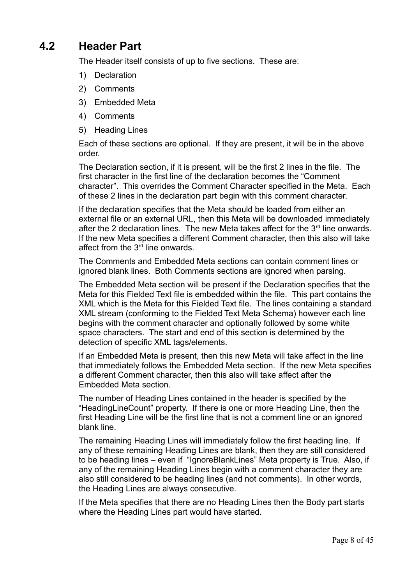# **4.2 Header Part**

The Header itself consists of up to five sections. These are:

- 1) Declaration
- 2) Comments
- 3) Embedded Meta
- 4) Comments
- 5) Heading Lines

Each of these sections are optional. If they are present, it will be in the above order.

The Declaration section, if it is present, will be the first 2 lines in the file. The first character in the first line of the declaration becomes the "Comment character". This overrides the Comment Character specified in the Meta. Each of these 2 lines in the declaration part begin with this comment character.

If the declaration specifies that the Meta should be loaded from either an external file or an external URL, then this Meta will be downloaded immediately after the 2 declaration lines. The new Meta takes affect for the  $3<sup>rd</sup>$  line onwards. If the new Meta specifies a different Comment character, then this also will take affect from the  $3<sup>rd</sup>$  line onwards.

The Comments and Embedded Meta sections can contain comment lines or ignored blank lines. Both Comments sections are ignored when parsing.

The Embedded Meta section will be present if the Declaration specifies that the Meta for this Fielded Text file is embedded within the file. This part contains the XML which is the Meta for this Fielded Text file. The lines containing a standard XML stream (conforming to the Fielded Text Meta Schema) however each line begins with the comment character and optionally followed by some white space characters. The start and end of this section is determined by the detection of specific XML tags/elements.

If an Embedded Meta is present, then this new Meta will take affect in the line that immediately follows the Embedded Meta section. If the new Meta specifies a different Comment character, then this also will take affect after the Embedded Meta section.

The number of Heading Lines contained in the header is specified by the "HeadingLineCount" property. If there is one or more Heading Line, then the first Heading Line will be the first line that is not a comment line or an ignored blank line.

The remaining Heading Lines will immediately follow the first heading line. If any of these remaining Heading Lines are blank, then they are still considered to be heading lines – even if "IgnoreBlankLines" Meta property is True. Also, if any of the remaining Heading Lines begin with a comment character they are also still considered to be heading lines (and not comments). In other words, the Heading Lines are always consecutive.

If the Meta specifies that there are no Heading Lines then the Body part starts where the Heading Lines part would have started.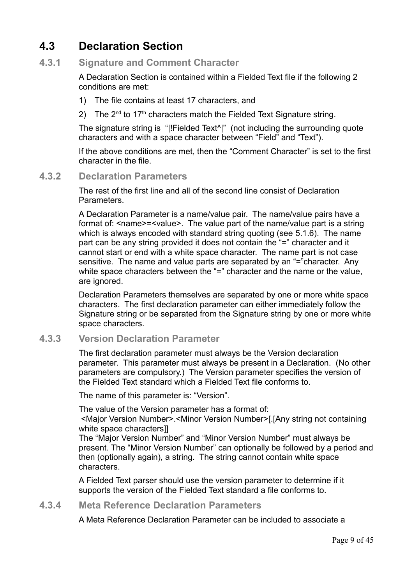# **4.3 Declaration Section**

#### **4.3.1 Signature and Comment Character**

A Declaration Section is contained within a Fielded Text file if the following 2 conditions are met:

- 1) The file contains at least 17 characters, and
- 2) The  $2^{nd}$  to 17<sup>th</sup> characters match the Fielded Text Signature string.

The signature string is "|!Fielded Text^|" (not including the surrounding quote characters and with a space character between "Field" and "Text").

If the above conditions are met, then the "Comment Character" is set to the first character in the file.

#### **4.3.2 Declaration Parameters**

The rest of the first line and all of the second line consist of Declaration Parameters.

A Declaration Parameter is a name/value pair. The name/value pairs have a format of: <name>=<value>. The value part of the name/value part is a string which is always encoded with standard string quoting (see [5.1.6\)](#page-28-0). The name part can be any string provided it does not contain the "=" character and it cannot start or end with a white space character. The name part is not case sensitive. The name and value parts are separated by an "="character. Any white space characters between the "=" character and the name or the value, are ignored.

Declaration Parameters themselves are separated by one or more white space characters. The first declaration parameter can either immediately follow the Signature string or be separated from the Signature string by one or more white space characters.

#### **4.3.3 Version Declaration Parameter**

The first declaration parameter must always be the Version declaration parameter. This parameter must always be present in a Declaration. (No other parameters are compulsory.) The Version parameter specifies the version of the Fielded Text standard which a Fielded Text file conforms to.

The name of this parameter is: "Version".

The value of the Version parameter has a format of:

 <Major Version Number>.<Minor Version Number>[.[Any string not containing white space characters]]

The "Major Version Number" and "Minor Version Number" must always be present. The "Minor Version Number" can optionally be followed by a period and then (optionally again), a string. The string cannot contain white space characters.

A Fielded Text parser should use the version parameter to determine if it supports the version of the Fielded Text standard a file conforms to.

#### **4.3.4 Meta Reference Declaration Parameters**

A Meta Reference Declaration Parameter can be included to associate a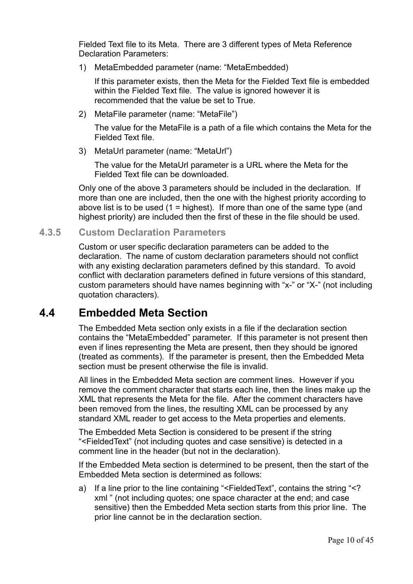Fielded Text file to its Meta. There are 3 different types of Meta Reference Declaration Parameters:

1) MetaEmbedded parameter (name: "MetaEmbedded)

If this parameter exists, then the Meta for the Fielded Text file is embedded within the Fielded Text file. The value is ignored however it is recommended that the value be set to True.

2) MetaFile parameter (name: "MetaFile")

The value for the MetaFile is a path of a file which contains the Meta for the Fielded Text file.

3) MetaUrl parameter (name: "MetaUrl")

The value for the MetaUrl parameter is a URL where the Meta for the Fielded Text file can be downloaded.

Only one of the above 3 parameters should be included in the declaration. If more than one are included, then the one with the highest priority according to above list is to be used  $(1 =$  highest). If more than one of the same type (and highest priority) are included then the first of these in the file should be used.

#### **4.3.5 Custom Declaration Parameters**

Custom or user specific declaration parameters can be added to the declaration. The name of custom declaration parameters should not conflict with any existing declaration parameters defined by this standard. To avoid conflict with declaration parameters defined in future versions of this standard, custom parameters should have names beginning with "x-" or "X-" (not including quotation characters).

# **4.4 Embedded Meta Section**

The Embedded Meta section only exists in a file if the declaration section contains the "MetaEmbedded" parameter. If this parameter is not present then even if lines representing the Meta are present, then they should be ignored (treated as comments). If the parameter is present, then the Embedded Meta section must be present otherwise the file is invalid.

All lines in the Embedded Meta section are comment lines. However if you remove the comment character that starts each line, then the lines make up the XML that represents the Meta for the file. After the comment characters have been removed from the lines, the resulting XML can be processed by any standard XML reader to get access to the Meta properties and elements.

The Embedded Meta Section is considered to be present if the string "<FieldedText" (not including quotes and case sensitive) is detected in a comment line in the header (but not in the declaration).

If the Embedded Meta section is determined to be present, then the start of the Embedded Meta section is determined as follows:

a) If a line prior to the line containing "<FieldedText", contains the string "<? xml " (not including quotes; one space character at the end; and case sensitive) then the Embedded Meta section starts from this prior line. The prior line cannot be in the declaration section.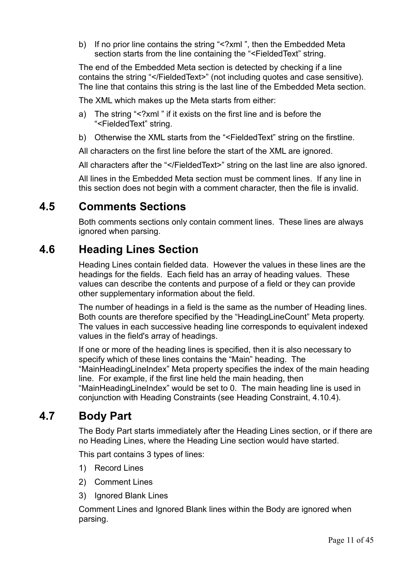b) If no prior line contains the string "<?xml", then the Embedded Meta section starts from the line containing the "<FieldedText" string.

The end of the Embedded Meta section is detected by checking if a line contains the string "</FieldedText>" (not including quotes and case sensitive). The line that contains this string is the last line of the Embedded Meta section.

The XML which makes up the Meta starts from either:

- a) The string "<?xml " if it exists on the first line and is before the "<FieldedText" string.
- b) Otherwise the XML starts from the "<FieldedText" string on the firstline.

All characters on the first line before the start of the XML are ignored.

All characters after the "</FieldedText>" string on the last line are also ignored.

All lines in the Embedded Meta section must be comment lines. If any line in this section does not begin with a comment character, then the file is invalid.

### **4.5 Comments Sections**

Both comments sections only contain comment lines. These lines are always ignored when parsing.

# **4.6 Heading Lines Section**

Heading Lines contain fielded data. However the values in these lines are the headings for the fields. Each field has an array of heading values. These values can describe the contents and purpose of a field or they can provide other supplementary information about the field.

The number of headings in a field is the same as the number of Heading lines. Both counts are therefore specified by the "HeadingLineCount" Meta property. The values in each successive heading line corresponds to equivalent indexed values in the field's array of headings.

If one or more of the heading lines is specified, then it is also necessary to specify which of these lines contains the "Main" heading. The "MainHeadingLineIndex" Meta property specifies the index of the main heading line. For example, if the first line held the main heading, then "MainHeadingLineIndex" would be set to 0. The main heading line is used in conjunction with Heading Constraints (see [Heading Constraint, 4.10.4\)](#page-13-0).

# **4.7 Body Part**

The Body Part starts immediately after the Heading Lines section, or if there are no Heading Lines, where the Heading Line section would have started.

This part contains 3 types of lines:

- 1) Record Lines
- 2) Comment Lines
- 3) Ignored Blank Lines

Comment Lines and Ignored Blank lines within the Body are ignored when parsing.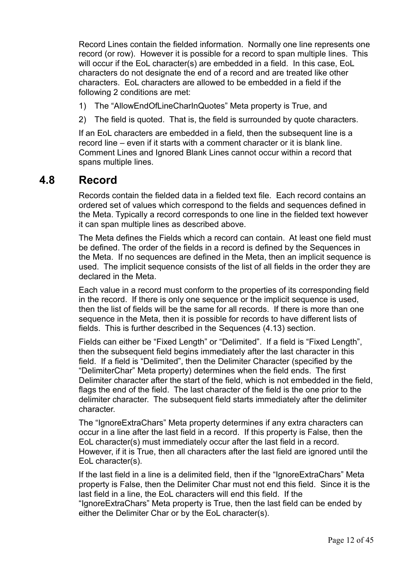Record Lines contain the fielded information. Normally one line represents one record (or row). However it is possible for a record to span multiple lines. This will occur if the EoL character(s) are embedded in a field. In this case, EoL characters do not designate the end of a record and are treated like other characters. EoL characters are allowed to be embedded in a field if the following 2 conditions are met:

- 1) The "AllowEndOfLineCharInQuotes" Meta property is True, and
- 2) The field is quoted. That is, the field is surrounded by quote characters.

If an EoL characters are embedded in a field, then the subsequent line is a record line – even if it starts with a comment character or it is blank line. Comment Lines and Ignored Blank Lines cannot occur within a record that spans multiple lines.

### **4.8 Record**

Records contain the fielded data in a fielded text file. Each record contains an ordered set of values which correspond to the fields and sequences defined in the Meta. Typically a record corresponds to one line in the fielded text however it can span multiple lines as described above.

The Meta defines the Fields which a record can contain. At least one field must be defined. The order of the fields in a record is defined by the Sequences in the Meta. If no sequences are defined in the Meta, then an implicit sequence is used. The implicit sequence consists of the list of all fields in the order they are declared in the Meta.

Each value in a record must conform to the properties of its corresponding field in the record. If there is only one sequence or the implicit sequence is used, then the list of fields will be the same for all records. If there is more than one sequence in the Meta, then it is possible for records to have different lists of fields. This is further described in the [Sequences \(4.13\)](#page-21-0) section.

Fields can either be "Fixed Length" or "Delimited". If a field is "Fixed Length", then the subsequent field begins immediately after the last character in this field. If a field is "Delimited", then the Delimiter Character (specified by the "DelimiterChar" Meta property) determines when the field ends. The first Delimiter character after the start of the field, which is not embedded in the field, flags the end of the field. The last character of the field is the one prior to the delimiter character. The subsequent field starts immediately after the delimiter character.

The "IgnoreExtraChars" Meta property determines if any extra characters can occur in a line after the last field in a record. If this property is False, then the EoL character(s) must immediately occur after the last field in a record. However, if it is True, then all characters after the last field are ignored until the EoL character(s).

If the last field in a line is a delimited field, then if the "IgnoreExtraChars" Meta property is False, then the Delimiter Char must not end this field. Since it is the last field in a line, the EoL characters will end this field. If the

"IgnoreExtraChars" Meta property is True, then the last field can be ended by either the Delimiter Char or by the EoL character(s).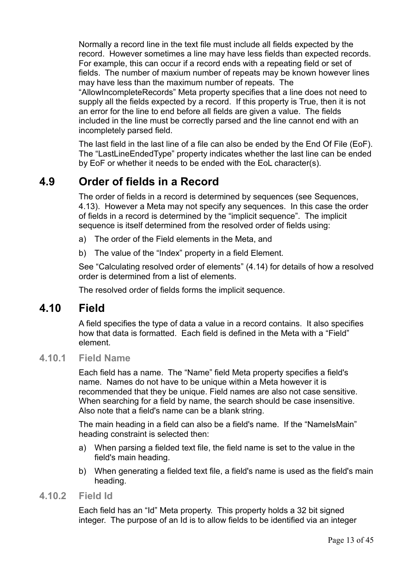Normally a record line in the text file must include all fields expected by the record. However sometimes a line may have less fields than expected records. For example, this can occur if a record ends with a repeating field or set of fields. The number of maxium number of repeats may be known however lines may have less than the maximum number of repeats. The

"AllowIncompleteRecords" Meta property specifies that a line does not need to supply all the fields expected by a record. If this property is True, then it is not an error for the line to end before all fields are given a value. The fields included in the line must be correctly parsed and the line cannot end with an incompletely parsed field.

The last field in the last line of a file can also be ended by the End Of File (EoF). The "LastLineEndedType" property indicates whether the last line can be ended by EoF or whether it needs to be ended with the EoL character(s).

# **4.9 Order of fields in a Record**

The order of fields in a record is determined by sequences (see [Sequences,](#page-21-0) [4.13\)](#page-21-0). However a Meta may not specify any sequences. In this case the order of fields in a record is determined by the "implicit sequence". The implicit sequence is itself determined from the resolved order of fields using:

- a) The order of the Field elements in the Meta, and
- b) The value of the "Index" property in a field Element.

See ["Calculating resolved order of elements"](#page-25-0) [\(4.14\)](#page-25-0) for details of how a resolved order is determined from a list of elements.

The resolved order of fields forms the implicit sequence.

# **4.10 Field**

A field specifies the type of data a value in a record contains. It also specifies how that data is formatted. Each field is defined in the Meta with a "Field" element.

#### **4.10.1 Field Name**

Each field has a name. The "Name" field Meta property specifies a field's name. Names do not have to be unique within a Meta however it is recommended that they be unique. Field names are also not case sensitive. When searching for a field by name, the search should be case insensitive. Also note that a field's name can be a blank string.

The main heading in a field can also be a field's name. If the "NameIsMain" heading constraint is selected then:

- a) When parsing a fielded text file, the field name is set to the value in the field's main heading.
- b) When generating a fielded text file, a field's name is used as the field's main heading.

#### **4.10.2 Field Id**

Each field has an "Id" Meta property. This property holds a 32 bit signed integer. The purpose of an Id is to allow fields to be identified via an integer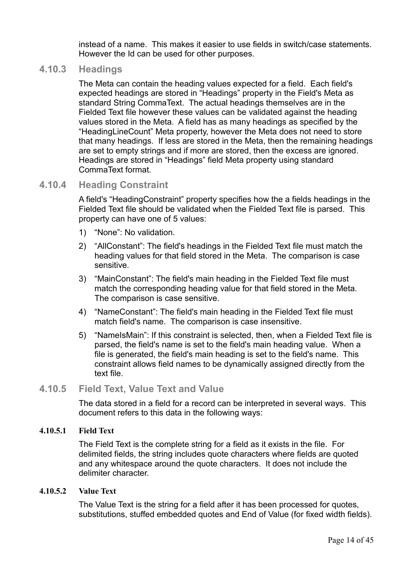instead of a name. This makes it easier to use fields in switch/case statements. However the Id can be used for other purposes.

#### **4.10.3 Headings**

The Meta can contain the heading values expected for a field. Each field's expected headings are stored in "Headings" property in the Field's Meta as standard [String CommaText.](#page-28-1) The actual headings themselves are in the Fielded Text file however these values can be validated against the heading values stored in the Meta. A field has as many headings as specified by the "HeadingLineCount" Meta property, however the Meta does not need to store that many headings. If less are stored in the Meta, then the remaining headings are set to empty strings and if more are stored, then the excess are ignored. Headings are stored in "Headings" field Meta property using standard CommaText format.

#### **4.10.4 Heading Constraint**

<span id="page-13-0"></span>A field's "HeadingConstraint" property specifies how the a fields headings in the Fielded Text file should be validated when the Fielded Text file is parsed. This property can have one of 5 values:

- 1) "None": No validation.
- 2) "AllConstant": The field's headings in the Fielded Text file must match the heading values for that field stored in the Meta. The comparison is case sensitive.
- 3) "MainConstant": The field's main heading in the Fielded Text file must match the corresponding heading value for that field stored in the Meta. The comparison is case sensitive.
- 4) "NameConstant": The field's main heading in the Fielded Text file must match field's name. The comparison is case insensitive.
- 5) "NameIsMain": If this constraint is selected, then, when a Fielded Text file is parsed, the field's name is set to the field's main heading value. When a file is generated, the field's main heading is set to the field's name. This constraint allows field names to be dynamically assigned directly from the text file.

#### **4.10.5 Field Text, Value Text and Value**

The data stored in a field for a record can be interpreted in several ways. This document refers to this data in the following ways:

#### **4.10.5.1 Field Text**

The Field Text is the complete string for a field as it exists in the file. For delimited fields, the string includes quote characters where fields are quoted and any whitespace around the quote characters. It does not include the delimiter character.

#### **4.10.5.2 Value Text**

The Value Text is the string for a field after it has been processed for quotes, substitutions, stuffed embedded quotes and End of Value (for fixed width fields).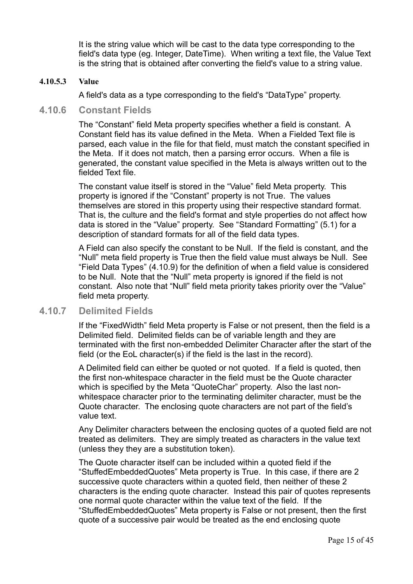It is the string value which will be cast to the data type corresponding to the field's data type (eg. Integer, DateTime). When writing a text file, the Value Text is the string that is obtained after converting the field's value to a string value.

#### **4.10.5.3 Value**

A field's data as a type corresponding to the field's "DataType" property.

#### **4.10.6 Constant Fields**

The "Constant" field Meta property specifies whether a field is constant. A Constant field has its value defined in the Meta. When a Fielded Text file is parsed, each value in the file for that field, must match the constant specified in the Meta. If it does not match, then a parsing error occurs. When a file is generated, the constant value specified in the Meta is always written out to the fielded Text file.

The constant value itself is stored in the "Value" field Meta property. This property is ignored if the "Constant" property is not True. The values themselves are stored in this property using their respective standard format. That is, the culture and the field's format and style properties do not affect how data is stored in the "Value" property. See ["Standard Formatting"](#page-26-0) [\(5.1\)](#page-26-0) for a description of standard formats for all of the field data types.

A Field can also specify the constant to be Null. If the field is constant, and the "Null" meta field property is True then the field value must always be Null. See ["Field Data Types"](#page-17-0) [\(4.10.9\)](#page-17-0) for the definition of when a field value is considered to be Null. Note that the "Null" meta property is ignored if the field is not constant. Also note that "Null" field meta priority takes priority over the "Value" field meta property.

#### **4.10.7 Delimited Fields**

If the "FixedWidth" field Meta property is False or not present, then the field is a Delimited field. Delimited fields can be of variable length and they are terminated with the first non-embedded Delimiter Character after the start of the field (or the EoL character(s) if the field is the last in the record).

A Delimited field can either be quoted or not quoted. If a field is quoted, then the first non-whitespace character in the field must be the Quote character which is specified by the Meta "QuoteChar" property. Also the last nonwhitespace character prior to the terminating delimiter character, must be the Quote character. The enclosing quote characters are not part of the field's value text.

Any Delimiter characters between the enclosing quotes of a quoted field are not treated as delimiters. They are simply treated as characters in the value text (unless they they are a substitution token).

The Quote character itself can be included within a quoted field if the "StuffedEmbeddedQuotes" Meta property is True. In this case, if there are 2 successive quote characters within a quoted field, then neither of these 2 characters is the ending quote character. Instead this pair of quotes represents one normal quote character within the value text of the field. If the "StuffedEmbeddedQuotes" Meta property is False or not present, then the first quote of a successive pair would be treated as the end enclosing quote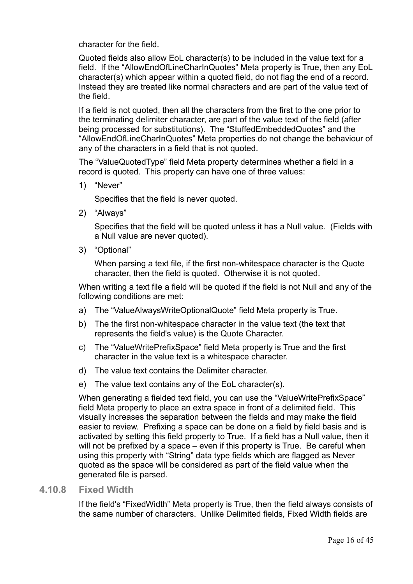character for the field.

Quoted fields also allow EoL character(s) to be included in the value text for a field. If the "AllowEndOfLineCharInQuotes" Meta property is True, then any EoL character(s) which appear within a quoted field, do not flag the end of a record. Instead they are treated like normal characters and are part of the value text of the field.

If a field is not quoted, then all the characters from the first to the one prior to the terminating delimiter character, are part of the value text of the field (after being processed for substitutions). The "StuffedEmbeddedQuotes" and the "AllowEndOfLineCharInQuotes" Meta properties do not change the behaviour of any of the characters in a field that is not quoted.

The "ValueQuotedType" field Meta property determines whether a field in a record is quoted. This property can have one of three values:

1) "Never"

Specifies that the field is never quoted.

2) "Always"

Specifies that the field will be quoted unless it has a Null value. (Fields with a Null value are never quoted).

3) "Optional"

When parsing a text file, if the first non-whitespace character is the Quote character, then the field is quoted. Otherwise it is not quoted.

When writing a text file a field will be quoted if the field is not Null and any of the following conditions are met:

- a) The "ValueAlwaysWriteOptionalQuote" field Meta property is True.
- b) The the first non-whitespace character in the value text (the text that represents the field's value) is the Quote Character.
- c) The "ValueWritePrefixSpace" field Meta property is True and the first character in the value text is a whitespace character.
- d) The value text contains the Delimiter character.
- e) The value text contains any of the EoL character(s).

When generating a fielded text field, you can use the "ValueWritePrefixSpace" field Meta property to place an extra space in front of a delimited field. This visually increases the separation between the fields and may make the field easier to review. Prefixing a space can be done on a field by field basis and is activated by setting this field property to True. If a field has a Null value, then it will not be prefixed by a space – even if this property is True. Be careful when using this property with "String" data type fields which are flagged as Never quoted as the space will be considered as part of the field value when the generated file is parsed.

#### **4.10.8 Fixed Width**

If the field's "FixedWidth" Meta property is True, then the field always consists of the same number of characters. Unlike Delimited fields, Fixed Width fields are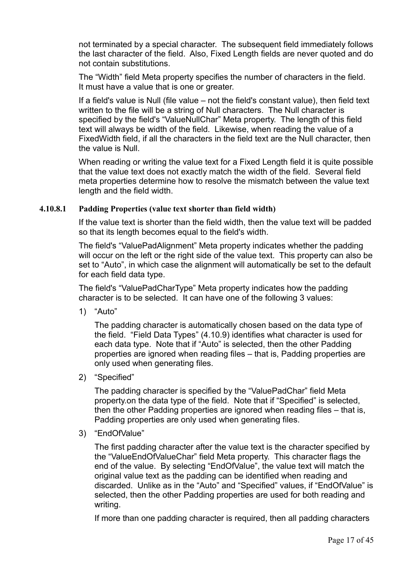not terminated by a special character. The subsequent field immediately follows the last character of the field. Also, Fixed Length fields are never quoted and do not contain substitutions.

The "Width" field Meta property specifies the number of characters in the field. It must have a value that is one or greater.

If a field's value is Null (file value – not the field's constant value), then field text written to the file will be a string of Null characters. The Null character is specified by the field's "ValueNullChar" Meta property. The length of this field text will always be width of the field. Likewise, when reading the value of a FixedWidth field, if all the characters in the field text are the Null character, then the value is Null.

When reading or writing the value text for a Fixed Length field it is quite possible that the value text does not exactly match the width of the field. Several field meta properties determine how to resolve the mismatch between the value text length and the field width.

#### **4.10.8.1 Padding Properties (value text shorter than field width)**

If the value text is shorter than the field width, then the value text will be padded so that its length becomes equal to the field's width.

The field's "ValuePadAlignment" Meta property indicates whether the padding will occur on the left or the right side of the value text. This property can also be set to "Auto", in which case the alignment will automatically be set to the default for each field data type.

The field's "ValuePadCharType" Meta property indicates how the padding character is to be selected. It can have one of the following 3 values:

1) "Auto"

The padding character is automatically chosen based on the data type of the field. ["Field Data Types"](#page-17-0) [\(4.10.9\)](#page-17-0) identifies what character is used for each data type. Note that if "Auto" is selected, then the other Padding properties are ignored when reading files – that is, Padding properties are only used when generating files.

2) "Specified"

The padding character is specified by the "ValuePadChar" field Meta property.on the data type of the field. Note that if "Specified" is selected, then the other Padding properties are ignored when reading files – that is, Padding properties are only used when generating files.

3) "EndOfValue"

The first padding character after the value text is the character specified by the "ValueEndOfValueChar" field Meta property. This character flags the end of the value. By selecting "EndOfValue", the value text will match the original value text as the padding can be identified when reading and discarded. Unlike as in the "Auto" and "Specified" values, if "EndOfValue" is selected, then the other Padding properties are used for both reading and writing.

If more than one padding character is required, then all padding characters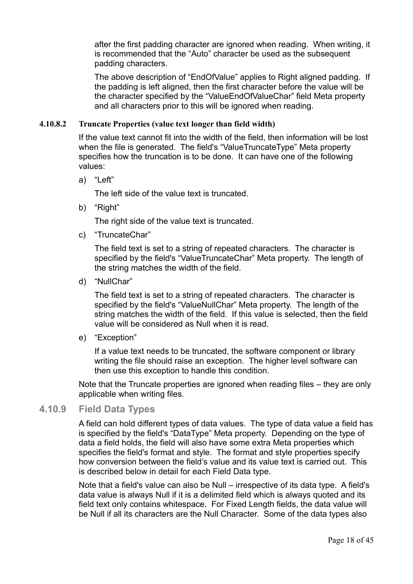after the first padding character are ignored when reading. When writing, it is recommended that the "Auto" character be used as the subsequent padding characters.

The above description of "EndOfValue" applies to Right aligned padding. If the padding is left aligned, then the first character before the value will be the character specified by the "ValueEndOfValueChar" field Meta property and all characters prior to this will be ignored when reading.

#### **4.10.8.2 Truncate Properties (value text longer than field width)**

If the value text cannot fit into the width of the field, then information will be lost when the file is generated. The field's "ValueTruncateType" Meta property specifies how the truncation is to be done. It can have one of the following values:

a) "Left"

The left side of the value text is truncated.

b) "Right"

The right side of the value text is truncated.

c) "TruncateChar"

The field text is set to a string of repeated characters. The character is specified by the field's "ValueTruncateChar" Meta property. The length of the string matches the width of the field.

d) "NullChar"

The field text is set to a string of repeated characters. The character is specified by the field's "ValueNullChar" Meta property. The length of the string matches the width of the field. If this value is selected, then the field value will be considered as Null when it is read.

e) "Exception"

If a value text needs to be truncated, the software component or library writing the file should raise an exception. The higher level software can then use this exception to handle this condition.

Note that the Truncate properties are ignored when reading files – they are only applicable when writing files.

#### **4.10.9 Field Data Types**

<span id="page-17-0"></span>A field can hold different types of data values. The type of data value a field has is specified by the field's "DataType" Meta property. Depending on the type of data a field holds, the field will also have some extra Meta properties which specifies the field's format and style. The format and style properties specify how conversion between the field's value and its value text is carried out. This is described below in detail for each Field Data type.

Note that a field's value can also be Null – irrespective of its data type. A field's data value is always Null if it is a delimited field which is always quoted and its field text only contains whitespace. For Fixed Length fields, the data value will be Null if all its characters are the Null Character. Some of the data types also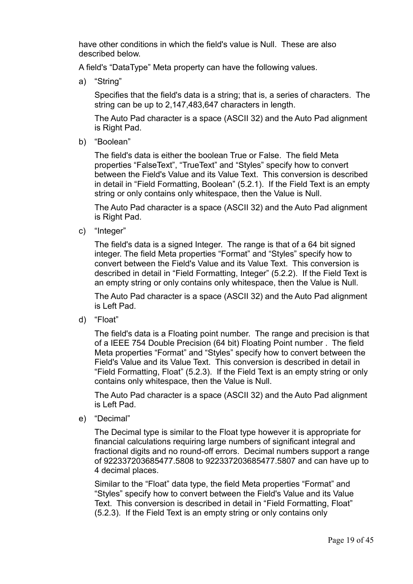have other conditions in which the field's value is Null. These are also described below.

A field's "DataType" Meta property can have the following values.

a) "String"

Specifies that the field's data is a string; that is, a series of characters. The string can be up to 2,147,483,647 characters in length.

The Auto Pad character is a space (ASCII 32) and the Auto Pad alignment is Right Pad.

b) "Boolean"

The field's data is either the boolean True or False. The field Meta properties "FalseText", "TrueText" and "Styles" specify how to convert between the Field's Value and its Value Text. This conversion is described in detail in ["Field Formatting,](#page-29-0) [Boolean"](#page-29-1) [\(5.2.1\)](#page-29-1). If the Field Text is an empty string or only contains only whitespace, then the Value is Null.

The Auto Pad character is a space (ASCII 32) and the Auto Pad alignment is Right Pad.

c) "Integer"

The field's data is a signed Integer. The range is that of a 64 bit signed integer. The field Meta properties "Format" and "Styles" specify how to convert between the Field's Value and its Value Text. This conversion is described in detail in ["Field Formatting,](#page-29-0) [Integer"](#page-30-0) [\(5.2.2\)](#page-30-0). If the Field Text is an empty string or only contains only whitespace, then the Value is Null.

The Auto Pad character is a space (ASCII 32) and the Auto Pad alignment is Left Pad.

d) "Float"

The field's data is a Floating point number. The range and precision is that of a IEEE 754 Double Precision (64 bit) Floating Point number . The field Meta properties "Format" and "Styles" specify how to convert between the Field's Value and its Value Text. This conversion is described in detail in ["Field Formatting,](#page-29-0) [Float"](#page-31-0) [\(5.2.3\)](#page-31-0). If the Field Text is an empty string or only contains only whitespace, then the Value is Null.

The Auto Pad character is a space (ASCII 32) and the Auto Pad alignment is Left Pad.

e) "Decimal"

The Decimal type is similar to the Float type however it is appropriate for financial calculations requiring large numbers of significant integral and fractional digits and no round-off errors. Decimal numbers support a range of 922337203685477.5808 to 922337203685477.5807 and can have up to 4 decimal places.

Similar to the "Float" data type, the field Meta properties "Format" and "Styles" specify how to convert between the Field's Value and its Value Text. This conversion is described in detail in ["Field Formatting,](#page-29-0) [Float"](#page-31-0) [\(5.2.3\)](#page-31-0). If the Field Text is an empty string or only contains only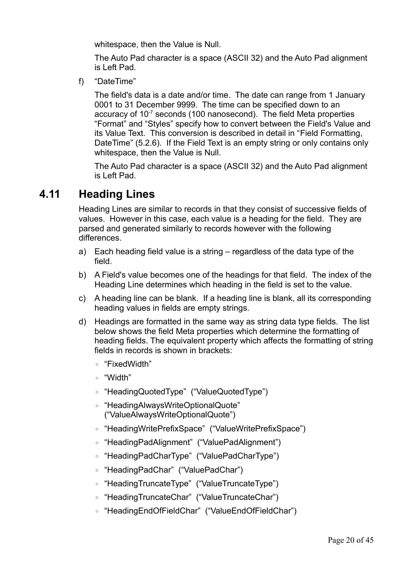whitespace, then the Value is Null.

The Auto Pad character is a space (ASCII 32) and the Auto Pad alignment is Left Pad.

f) "DateTime"

The field's data is a date and/or time. The date can range from 1 January 0001 to 31 December 9999. The time can be specified down to an accuracy of 10<sup>-7</sup> seconds (100 nanosecond). The field Meta properties "Format" and "Styles" specify how to convert between the Field's Value and its Value Text. This conversion is described in detail in "[Field Formatting,](#page-29-0) [DateTime"](#page-34-0) [\(5.2.6\)](#page-34-0). If the Field Text is an empty string or only contains only whitespace, then the Value is Null.

The Auto Pad character is a space (ASCII 32) and the Auto Pad alignment is Left Pad.

# **4.11 Heading Lines**

Heading Lines are similar to records in that they consist of successive fields of values. However in this case, each value is a heading for the field. They are parsed and generated similarly to records however with the following differences.

- a) Each heading field value is a string regardless of the data type of the field.
- b) A Field's value becomes one of the headings for that field. The index of the Heading Line determines which heading in the field is set to the value.
- c) A heading line can be blank. If a heading line is blank, all its corresponding heading values in fields are empty strings.
- d) Headings are formatted in the same way as string data type fields. The list below shows the field Meta properties which determine the formatting of heading fields. The equivalent property which affects the formatting of string fields in records is shown in brackets:
	- "FixedWidth"
	- "Width"
	- "HeadingQuotedType" ("ValueQuotedType")
	- "HeadingAlwaysWriteOptionalQuote" ("ValueAlwaysWriteOptionalQuote")
	- "HeadingWritePrefixSpace" ("ValueWritePrefixSpace")
	- "HeadingPadAlignment" ("ValuePadAlignment")
	- "HeadingPadCharType" ("ValuePadCharType")
	- "HeadingPadChar" ("ValuePadChar")
	- "HeadingTruncateType" ("ValueTruncateType")
	- "HeadingTruncateChar" ("ValueTruncateChar")
	- "HeadingEndOfFieldChar" ("ValueEndOfFieldChar")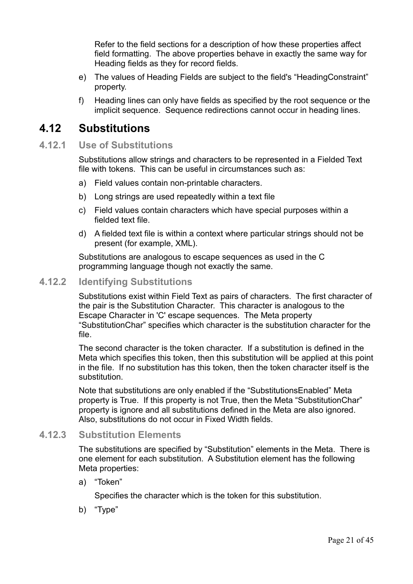Refer to the field sections for a description of how these properties affect field formatting. The above properties behave in exactly the same way for Heading fields as they for record fields.

- e) The values of Heading Fields are subject to the field's "HeadingConstraint" property.
- f) Heading lines can only have fields as specified by the root sequence or the implicit sequence. Sequence redirections cannot occur in heading lines.

### **4.12 Substitutions**

#### **4.12.1 Use of Substitutions**

Substitutions allow strings and characters to be represented in a Fielded Text file with tokens. This can be useful in circumstances such as:

- a) Field values contain non-printable characters.
- b) Long strings are used repeatedly within a text file
- c) Field values contain characters which have special purposes within a fielded text file.
- d) A fielded text file is within a context where particular strings should not be present (for example, XML).

Substitutions are analogous to escape sequences as used in the C programming language though not exactly the same.

#### **4.12.2 Identifying Substitutions**

Substitutions exist within Field Text as pairs of characters. The first character of the pair is the Substitution Character. This character is analogous to the Escape Character in 'C' escape sequences. The Meta property "SubstitutionChar" specifies which character is the substitution character for the file.

The second character is the token character. If a substitution is defined in the Meta which specifies this token, then this substitution will be applied at this point in the file. If no substitution has this token, then the token character itself is the substitution.

Note that substitutions are only enabled if the "SubstitutionsEnabled" Meta property is True. If this property is not True, then the Meta "SubstitutionChar" property is ignore and all substitutions defined in the Meta are also ignored. Also, substitutions do not occur in Fixed Width fields.

#### **4.12.3 Substitution Elements**

The substitutions are specified by "Substitution" elements in the Meta. There is one element for each substitution. A Substitution element has the following Meta properties:

a) "Token"

Specifies the character which is the token for this substitution.

b) "Type"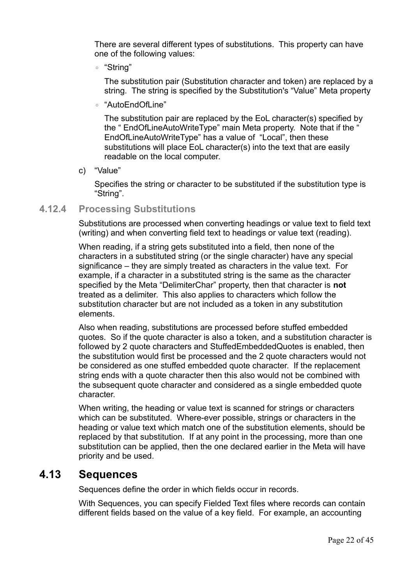There are several different types of substitutions. This property can have one of the following values:

◦ "String"

The substitution pair (Substitution character and token) are replaced by a string. The string is specified by the Substitution's "Value" Meta property

◦ "AutoEndOfLine"

The substitution pair are replaced by the EoL character(s) specified by the " EndOfLineAutoWriteType" main Meta property. Note that if the " EndOfLineAutoWriteType" has a value of "Local", then these substitutions will place EoL character(s) into the text that are easily readable on the local computer.

c) "Value"

Specifies the string or character to be substituted if the substitution type is "String".

#### **4.12.4 Processing Substitutions**

Substitutions are processed when converting headings or value text to field text (writing) and when converting field text to headings or value text (reading).

When reading, if a string gets substituted into a field, then none of the characters in a substituted string (or the single character) have any special significance – they are simply treated as characters in the value text. For example, if a character in a substituted string is the same as the character specified by the Meta "DelimiterChar" property, then that character is **not** treated as a delimiter. This also applies to characters which follow the substitution character but are not included as a token in any substitution elements.

Also when reading, substitutions are processed before stuffed embedded quotes. So if the quote character is also a token, and a substitution character is followed by 2 quote characters and StuffedEmbeddedQuotes is enabled, then the substitution would first be processed and the 2 quote characters would not be considered as one stuffed embedded quote character. If the replacement string ends with a quote character then this also would not be combined with the subsequent quote character and considered as a single embedded quote character.

When writing, the heading or value text is scanned for strings or characters which can be substituted. Where-ever possible, strings or characters in the heading or value text which match one of the substitution elements, should be replaced by that substitution. If at any point in the processing, more than one substitution can be applied, then the one declared earlier in the Meta will have priority and be used.

### **4.13 Sequences**

<span id="page-21-0"></span>Sequences define the order in which fields occur in records.

With Sequences, you can specify Fielded Text files where records can contain different fields based on the value of a key field. For example, an accounting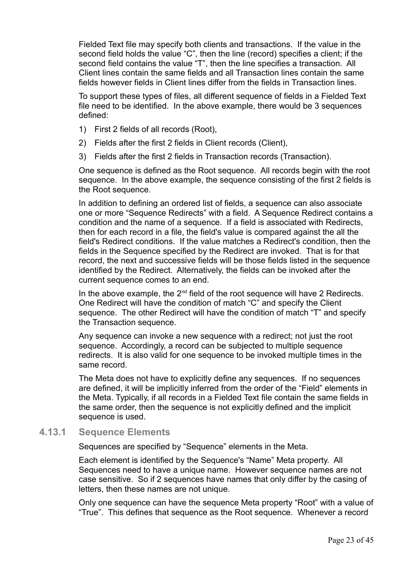Fielded Text file may specify both clients and transactions. If the value in the second field holds the value "C", then the line (record) specifies a client; if the second field contains the value "T", then the line specifies a transaction. All Client lines contain the same fields and all Transaction lines contain the same fields however fields in Client lines differ from the fields in Transaction lines.

To support these types of files, all different sequence of fields in a Fielded Text file need to be identified. In the above example, there would be 3 sequences defined:

- 1) First 2 fields of all records (Root),
- 2) Fields after the first 2 fields in Client records (Client),
- 3) Fields after the first 2 fields in Transaction records (Transaction).

One sequence is defined as the Root sequence. All records begin with the root sequence. In the above example, the sequence consisting of the first 2 fields is the Root sequence.

In addition to defining an ordered list of fields, a sequence can also associate one or more "Sequence Redirects" with a field. A Sequence Redirect contains a condition and the name of a sequence. If a field is associated with Redirects, then for each record in a file, the field's value is compared against the all the field's Redirect conditions. If the value matches a Redirect's condition, then the fields in the Sequence specified by the Redirect are invoked. That is for that record, the next and successive fields will be those fields listed in the sequence identified by the Redirect. Alternatively, the fields can be invoked after the current sequence comes to an end.

In the above example, the  $2^{nd}$  field of the root sequence will have 2 Redirects. One Redirect will have the condition of match "C" and specify the Client sequence. The other Redirect will have the condition of match "T" and specify the Transaction sequence.

Any sequence can invoke a new sequence with a redirect; not just the root sequence. Accordingly, a record can be subjected to multiple sequence redirects. It is also valid for one sequence to be invoked multiple times in the same record.

The Meta does not have to explicitly define any sequences. If no sequences are defined, it will be implicitly inferred from the order of the "Field" elements in the Meta. Typically, if all records in a Fielded Text file contain the same fields in the same order, then the sequence is not explicitly defined and the implicit sequence is used.

#### **4.13.1 Sequence Elements**

Sequences are specified by "Sequence" elements in the Meta.

Each element is identified by the Sequence's "Name" Meta property. All Sequences need to have a unique name. However sequence names are not case sensitive. So if 2 sequences have names that only differ by the casing of letters, then these names are not unique.

Only one sequence can have the sequence Meta property "Root" with a value of "True". This defines that sequence as the Root sequence. Whenever a record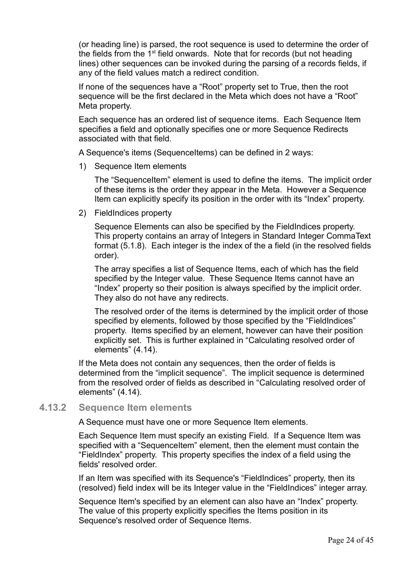(or heading line) is parsed, the root sequence is used to determine the order of the fields from the  $1<sup>st</sup>$  field onwards. Note that for records (but not heading lines) other sequences can be invoked during the parsing of a records fields, if any of the field values match a redirect condition.

If none of the sequences have a "Root" property set to True, then the root sequence will be the first declared in the Meta which does not have a "Root" Meta property.

Each sequence has an ordered list of sequence items. Each Sequence Item specifies a field and optionally specifies one or more Sequence Redirects associated with that field.

A Sequence's items (SequenceItems) can be defined in 2 ways:

1) Sequence Item elements

The "SequenceItem" element is used to define the items. The implicit order of these items is the order they appear in the Meta. However a Sequence Item can explicitly specify its position in the order with its "Index" property.

2) FieldIndices property

Sequence Elements can also be specified by the FieldIndices property. This property contains an array of Integers in Standard [Integer CommaText](#page-29-2) format [\(5.1.8\)](#page-29-2). Each integer is the index of the a field (in the resolved fields order).

The array specifies a list of Sequence Items, each of which has the field specified by the Integer value. These Sequence Items cannot have an "Index" property so their position is always specified by the implicit order. They also do not have any redirects.

The resolved order of the items is determined by the implicit order of those specified by elements, followed by those specified by the "FieldIndices" property. Items specified by an element, however can have their position explicitly set. This is further explained in ["Calculating resolved order of](#page-25-0)  [elements"](#page-25-0) [\(4.14\)](#page-25-0).

If the Meta does not contain any sequences, then the order of fields is determined from the "implicit sequence". The implicit sequence is determined from the resolved order of fields as described in ["Calculating resolved order of](#page-25-0)  [elements"](#page-25-0) [\(4.14\)](#page-25-0).

#### **4.13.2 Sequence Item elements**

A Sequence must have one or more Sequence Item elements.

Each Sequence Item must specify an existing Field. If a Sequence Item was specified with a "SequenceItem" element, then the element must contain the "FieldIndex" property. This property specifies the index of a field using the fields' resolved order.

If an Item was specified with its Sequence's "FieldIndices" property, then its (resolved) field index will be its Integer value in the "FieldIndices" integer array.

Sequence Item's specified by an element can also have an "Index" property. The value of this property explicitly specifies the Items position in its Sequence's resolved order of Sequence Items.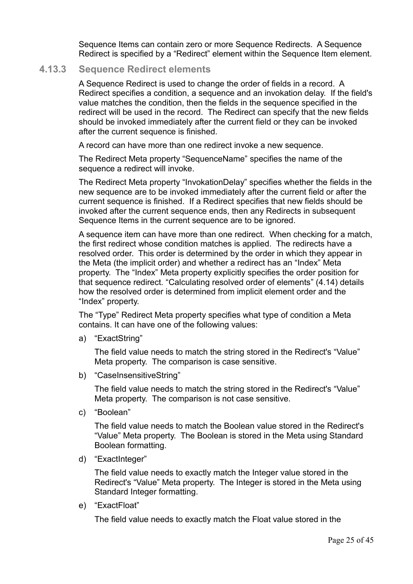Sequence Items can contain zero or more Sequence Redirects. A Sequence Redirect is specified by a "Redirect" element within the Sequence Item element.

#### **4.13.3 Sequence Redirect elements**

A Sequence Redirect is used to change the order of fields in a record. A Redirect specifies a condition, a sequence and an invokation delay. If the field's value matches the condition, then the fields in the sequence specified in the redirect will be used in the record. The Redirect can specify that the new fields should be invoked immediately after the current field or they can be invoked after the current sequence is finished.

A record can have more than one redirect invoke a new sequence.

The Redirect Meta property "SequenceName" specifies the name of the sequence a redirect will invoke.

The Redirect Meta property "InvokationDelay" specifies whether the fields in the new sequence are to be invoked immediately after the current field or after the current sequence is finished. If a Redirect specifies that new fields should be invoked after the current sequence ends, then any Redirects in subsequent Sequence Items in the current sequence are to be ignored.

A sequence item can have more than one redirect. When checking for a match, the first redirect whose condition matches is applied. The redirects have a resolved order. This order is determined by the order in which they appear in the Meta (the implicit order) and whether a redirect has an "Index" Meta property. The "Index" Meta property explicitly specifies the order position for that sequence redirect. ["Calculating resolved order of elements"](#page-25-0) [\(4.14\)](#page-25-0) details how the resolved order is determined from implicit element order and the "Index" property.

The "Type" Redirect Meta property specifies what type of condition a Meta contains. It can have one of the following values:

a) "ExactString"

The field value needs to match the string stored in the Redirect's "Value" Meta property. The comparison is case sensitive.

b) "CaseInsensitiveString"

The field value needs to match the string stored in the Redirect's "Value" Meta property. The comparison is not case sensitive.

c) "Boolean"

The field value needs to match the Boolean value stored in the Redirect's "Value" Meta property. The Boolean is stored in the Meta using Standard Boolean formatting.

d) "ExactInteger"

The field value needs to exactly match the Integer value stored in the Redirect's "Value" Meta property. The Integer is stored in the Meta using Standard Integer formatting.

e) "ExactFloat"

The field value needs to exactly match the Float value stored in the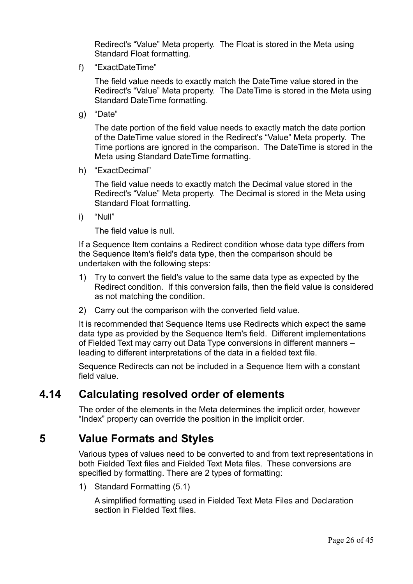Redirect's "Value" Meta property. The Float is stored in the Meta using Standard Float formatting.

f) "ExactDateTime"

The field value needs to exactly match the DateTime value stored in the Redirect's "Value" Meta property. The DateTime is stored in the Meta using Standard DateTime formatting.

g) "Date"

The date portion of the field value needs to exactly match the date portion of the DateTime value stored in the Redirect's "Value" Meta property. The Time portions are ignored in the comparison. The DateTime is stored in the Meta using Standard DateTime formatting.

h) "ExactDecimal"

The field value needs to exactly match the Decimal value stored in the Redirect's "Value" Meta property. The Decimal is stored in the Meta using Standard Float formatting.

i) "Null"

The field value is null.

If a Sequence Item contains a Redirect condition whose data type differs from the Sequence Item's field's data type, then the comparison should be undertaken with the following steps:

- 1) Try to convert the field's value to the same data type as expected by the Redirect condition. If this conversion fails, then the field value is considered as not matching the condition.
- 2) Carry out the comparison with the converted field value.

It is recommended that Sequence Items use Redirects which expect the same data type as provided by the Sequence Item's field. Different implementations of Fielded Text may carry out Data Type conversions in different manners – leading to different interpretations of the data in a fielded text file.

Sequence Redirects can not be included in a Sequence Item with a constant field value.

# **4.14 Calculating resolved order of elements**

<span id="page-25-0"></span>The order of the elements in the Meta determines the implicit order, however "Index" property can override the position in the implicit order.

# **5 Value Formats and Styles**

Various types of values need to be converted to and from text representations in both Fielded Text files and Fielded Text Meta files. These conversions are specified by formatting. There are 2 types of formatting:

1) [Standard Formatting \(5.1\)](#page-26-0)

A simplified formatting used in Fielded Text Meta Files and Declaration section in Fielded Text files.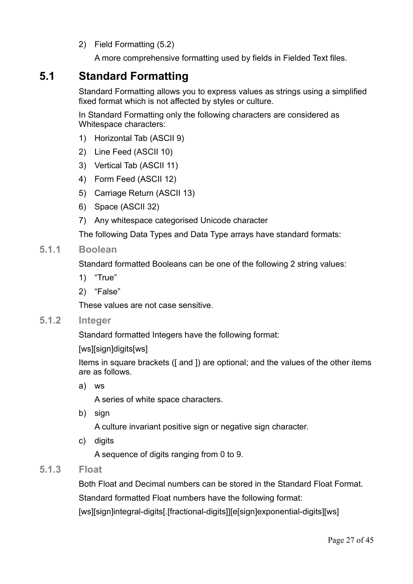2) [Field Formatting \(5.2\)](#page-29-0)

A more comprehensive formatting used by fields in Fielded Text files.

# **5.1 Standard Formatting**

<span id="page-26-0"></span>Standard Formatting allows you to express values as strings using a simplified fixed format which is not affected by styles or culture.

In Standard Formatting only the following characters are considered as Whitespace characters:

- 1) Horizontal Tab (ASCII 9)
- 2) Line Feed (ASCII 10)
- 3) Vertical Tab (ASCII 11)
- 4) Form Feed (ASCII 12)
- 5) Carriage Return (ASCII 13)
- 6) Space (ASCII 32)
- 7) Any whitespace categorised Unicode character

The following Data Types and Data Type arrays have standard formats:

#### **5.1.1 Boolean**

Standard formatted Booleans can be one of the following 2 string values:

- 1) "True"
- 2) "False"

These values are not case sensitive.

#### **5.1.2 Integer**

Standard formatted Integers have the following format:

Items in square brackets ([and ]) are optional; and the values of the other items are as follows.

a) ws

A series of white space characters.

b) sign

A culture invariant positive sign or negative sign character.

c) digits

A sequence of digits ranging from 0 to 9.

#### **5.1.3 Float**

Both Float and Decimal numbers can be stored in the Standard Float Format. Standard formatted Float numbers have the following format:

[ws][sign]integral-digits[.[fractional-digits]][e[sign]exponential-digits][ws]

<sup>[</sup>ws][sign]digits[ws]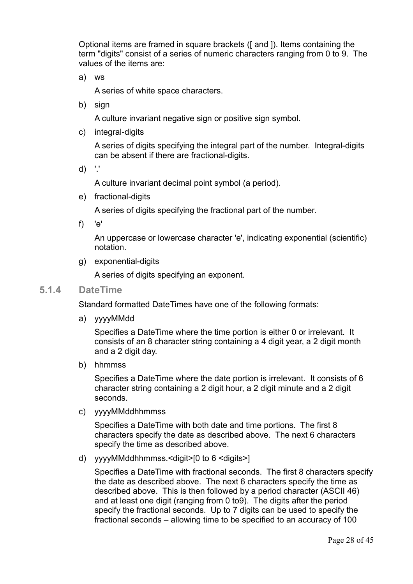Optional items are framed in square brackets ([ and ]). Items containing the term "digits" consist of a series of numeric characters ranging from 0 to 9. The values of the items are:

a) ws

A series of white space characters.

b) sign

A culture invariant negative sign or positive sign symbol.

c) integral-digits

A series of digits specifying the integral part of the number. Integral-digits can be absent if there are fractional-digits.

d) '.'

A culture invariant decimal point symbol (a period).

e) fractional-digits

A series of digits specifying the fractional part of the number.

f) 'e'

An uppercase or lowercase character 'e', indicating exponential (scientific) notation.

g) exponential-digits

A series of digits specifying an exponent.

#### **5.1.4 DateTime**

Standard formatted DateTimes have one of the following formats:

a) yyyyMMdd

Specifies a DateTime where the time portion is either 0 or irrelevant. It consists of an 8 character string containing a 4 digit year, a 2 digit month and a 2 digit day.

b) hhmmss

Specifies a DateTime where the date portion is irrelevant. It consists of 6 character string containing a 2 digit hour, a 2 digit minute and a 2 digit seconds.

c) yyyyMMddhhmmss

Specifies a DateTime with both date and time portions. The first 8 characters specify the date as described above. The next 6 characters specify the time as described above.

d) yyyyMMddhhmmss.<digit>[0 to 6 <digits>]

Specifies a DateTime with fractional seconds. The first 8 characters specify the date as described above. The next 6 characters specify the time as described above. This is then followed by a period character (ASCII 46) and at least one digit (ranging from 0 to9). The digits after the period specify the fractional seconds. Up to 7 digits can be used to specify the fractional seconds – allowing time to be specified to an accuracy of 100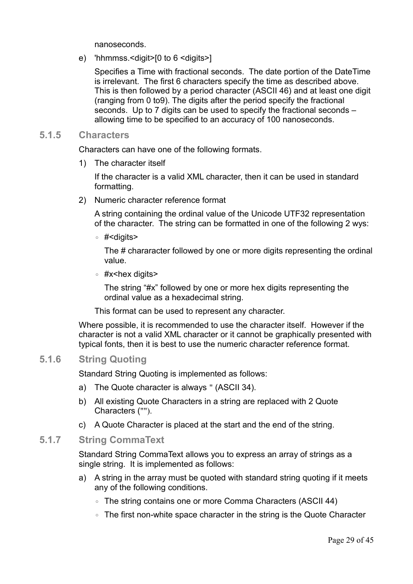nanoseconds.

e) 'hhmmss.<digit>[0 to 6 <digits>]

Specifies a Time with fractional seconds. The date portion of the DateTime is irrelevant. The first 6 characters specify the time as described above. This is then followed by a period character (ASCII 46) and at least one digit (ranging from 0 to9). The digits after the period specify the fractional seconds. Up to 7 digits can be used to specify the fractional seconds – allowing time to be specified to an accuracy of 100 nanoseconds.

#### **5.1.5 Characters**

Characters can have one of the following formats.

1) The character itself

If the character is a valid XML character, then it can be used in standard formatting.

2) Numeric character reference format

A string containing the ordinal value of the Unicode UTF32 representation of the character. The string can be formatted in one of the following 2 wys:

◦ #<digits>

The # chararacter followed by one or more digits representing the ordinal value.

◦ #x<hex digits>

The string "#x" followed by one or more hex digits representing the ordinal value as a hexadecimal string.

This format can be used to represent any character.

Where possible, it is recommended to use the character itself. However if the character is not a valid XML character or it cannot be graphically presented with typical fonts, then it is best to use the numeric character reference format.

#### **5.1.6 String Quoting**

<span id="page-28-0"></span>Standard String Quoting is implemented as follows:

- a) The Quote character is always " (ASCII 34).
- b) All existing Quote Characters in a string are replaced with 2 Quote Characters ("").
- <span id="page-28-1"></span>c) A Quote Character is placed at the start and the end of the string.

#### **5.1.7 String CommaText**

Standard String CommaText allows you to express an array of strings as a single string. It is implemented as follows:

- a) A string in the array must be quoted with standard string quoting if it meets any of the following conditions.
	- The string contains one or more Comma Characters (ASCII 44)
	- The first non-white space character in the string is the Quote Character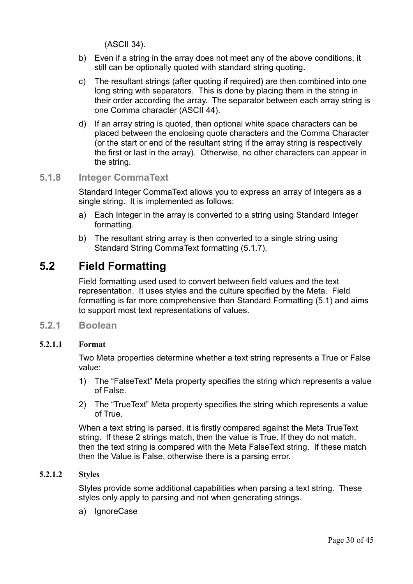(ASCII 34).

- b) Even if a string in the array does not meet any of the above conditions, it still can be optionally quoted with standard string quoting.
- c) The resultant strings (after quoting if required) are then combined into one long string with separators. This is done by placing them in the string in their order according the array. The separator between each array string is one Comma character (ASCII 44).
- d) If an array string is quoted, then optional white space characters can be placed between the enclosing quote characters and the Comma Character (or the start or end of the resultant string if the array string is respectively the first or last in the array). Otherwise, no other characters can appear in the string.

#### **5.1.8 Integer CommaText**

<span id="page-29-2"></span>Standard Integer CommaText allows you to express an array of Integers as a single string. It is implemented as follows:

- a) Each Integer in the array is converted to a string using Standard Integer formatting.
- b) The resultant string array is then converted to a single string using Standard [String CommaText](#page-28-1) formatting [\(5.1.7\)](#page-28-1).

# **5.2 Field Formatting**

<span id="page-29-0"></span>Field formatting used used to convert between field values and the text representation. It uses styles and the culture specified by the Meta. Field formatting is far more comprehensive than [Standard Formatting \(5.1\)](#page-26-0) and aims to support most text representations of values.

**5.2.1 Boolean**

#### **5.2.1.1 Format**

<span id="page-29-1"></span>Two Meta properties determine whether a text string represents a True or False value:

- 1) The "FalseText" Meta property specifies the string which represents a value of False.
- 2) The "TrueText" Meta property specifies the string which represents a value of True.

When a text string is parsed, it is firstly compared against the Meta TrueText string. If these 2 strings match, then the value is True. If they do not match, then the text string is compared with the Meta FalseText string. If these match then the Value is False, otherwise there is a parsing error.

#### **5.2.1.2 Styles**

Styles provide some additional capabilities when parsing a text string. These styles only apply to parsing and not when generating strings.

a) IgnoreCase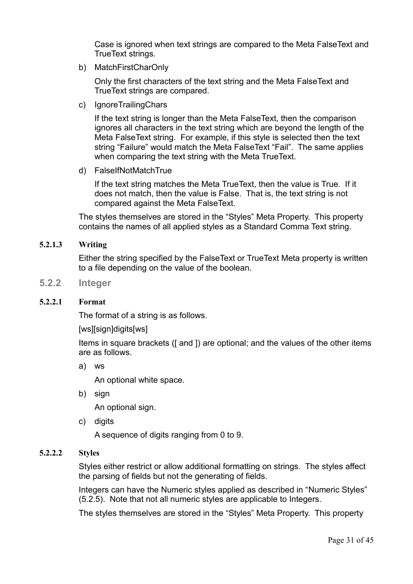Case is ignored when text strings are compared to the Meta FalseText and TrueText strings.

b) MatchFirstCharOnly

Only the first characters of the text string and the Meta FalseText and TrueText strings are compared.

c) IgnoreTrailingChars

If the text string is longer than the Meta FalseText, then the comparison ignores all characters in the text string which are beyond the length of the Meta FalseText string. For example, if this style is selected then the text string "Failure" would match the Meta FalseText "Fail". The same applies when comparing the text string with the Meta TrueText.

d) FalseIfNotMatchTrue

If the text string matches the Meta TrueText, then the value is True. If it does not match, then the value is False. That is, the text string is not compared against the Meta FalseText.

The styles themselves are stored in the "Styles" Meta Property. This property contains the names of all applied styles as a Standard Comma Text string.

#### **5.2.1.3 Writing**

<span id="page-30-0"></span>Either the string specified by the FalseText or TrueText Meta property is written to a file depending on the value of the boolean.

**5.2.2 Integer**

#### **5.2.2.1 Format**

The format of a string is as follows.

[ws][sign]digits[ws]

Items in square brackets ([ and ]) are optional; and the values of the other items are as follows.

a) ws

An optional white space.

b) sign

An optional sign.

c) digits

A sequence of digits ranging from 0 to 9.

#### **5.2.2.2 Styles**

Styles either restrict or allow additional formatting on strings. The styles affect the parsing of fields but not the generating of fields.

Integers can have the Numeric styles applied as described in "[Numeric Styles"](#page-32-0) [\(5.2.5\)](#page-32-0). Note that not all numeric styles are applicable to Integers.

The styles themselves are stored in the "Styles" Meta Property. This property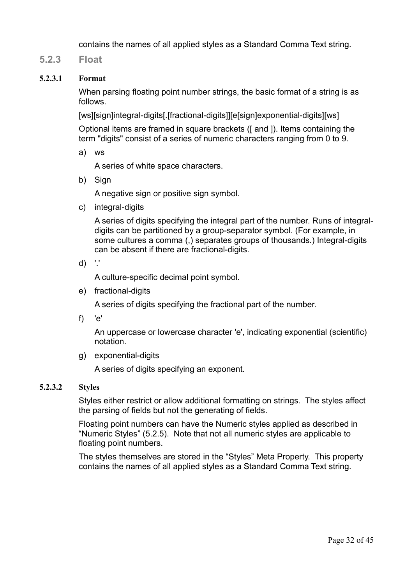<span id="page-31-0"></span>contains the names of all applied styles as a Standard Comma Text string.

**5.2.3 Float**

#### **5.2.3.1 Format**

When parsing floating point number strings, the basic format of a string is as follows.

[ws][sign]integral-digits[.[fractional-digits]][e[sign]exponential-digits][ws]

Optional items are framed in square brackets ([ and ]). Items containing the term "digits" consist of a series of numeric characters ranging from 0 to 9.

a) ws

A series of white space characters.

b) Sign

A negative sign or positive sign symbol.

c) integral-digits

A series of digits specifying the integral part of the number. Runs of integraldigits can be partitioned by a group-separator symbol. (For example, in some cultures a comma (,) separates groups of thousands.) Integral-digits can be absent if there are fractional-digits.

d) '.'

A culture-specific decimal point symbol.

e) fractional-digits

A series of digits specifying the fractional part of the number.

f) 'e'

An uppercase or lowercase character 'e', indicating exponential (scientific) notation.

g) exponential-digits

A series of digits specifying an exponent.

#### **5.2.3.2 Styles**

Styles either restrict or allow additional formatting on strings. The styles affect the parsing of fields but not the generating of fields.

Floating point numbers can have the Numeric styles applied as described in ["Numeric Styles"](#page-32-0) [\(5.2.5\)](#page-32-0). Note that not all numeric styles are applicable to floating point numbers.

The styles themselves are stored in the "Styles" Meta Property. This property contains the names of all applied styles as a Standard Comma Text string.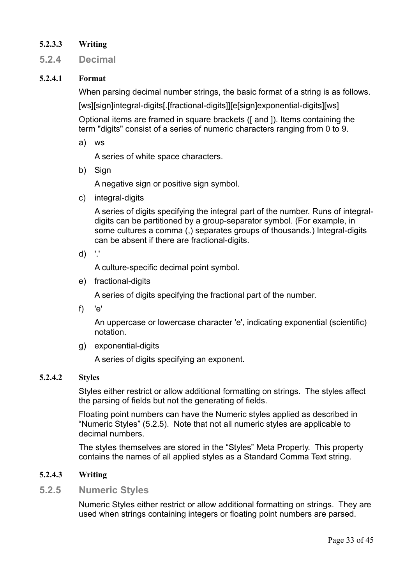#### **5.2.3.3 Writing**

**5.2.4 Decimal**

#### **5.2.4.1 Format**

When parsing decimal number strings, the basic format of a string is as follows.

[ws][sign]integral-digits[.[fractional-digits]][e[sign]exponential-digits][ws]

Optional items are framed in square brackets ([ and ]). Items containing the term "digits" consist of a series of numeric characters ranging from 0 to 9.

a) ws

A series of white space characters.

b) Sign

A negative sign or positive sign symbol.

c) integral-digits

A series of digits specifying the integral part of the number. Runs of integraldigits can be partitioned by a group-separator symbol. (For example, in some cultures a comma (,) separates groups of thousands.) Integral-digits can be absent if there are fractional-digits.

d) '.'

A culture-specific decimal point symbol.

e) fractional-digits

A series of digits specifying the fractional part of the number.

f) 'e'

An uppercase or lowercase character 'e', indicating exponential (scientific) notation.

g) exponential-digits

A series of digits specifying an exponent.

#### **5.2.4.2 Styles**

Styles either restrict or allow additional formatting on strings. The styles affect the parsing of fields but not the generating of fields.

Floating point numbers can have the Numeric styles applied as described in ["Numeric Styles"](#page-32-0) [\(5.2.5\)](#page-32-0). Note that not all numeric styles are applicable to decimal numbers.

The styles themselves are stored in the "Styles" Meta Property. This property contains the names of all applied styles as a Standard Comma Text string.

#### **5.2.4.3 Writing**

#### **5.2.5 Numeric Styles**

<span id="page-32-0"></span>Numeric Styles either restrict or allow additional formatting on strings. They are used when strings containing integers or floating point numbers are parsed.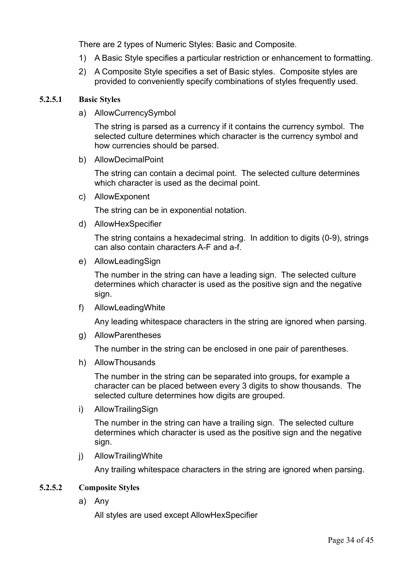There are 2 types of Numeric Styles: Basic and Composite.

- 1) A Basic Style specifies a particular restriction or enhancement to formatting.
- 2) A Composite Style specifies a set of Basic styles. Composite styles are provided to conveniently specify combinations of styles frequently used.

#### **5.2.5.1 Basic Styles**

a) AllowCurrencySymbol

The string is parsed as a currency if it contains the currency symbol. The selected culture determines which character is the currency symbol and how currencies should be parsed.

b) AllowDecimalPoint

The string can contain a decimal point. The selected culture determines which character is used as the decimal point.

c) AllowExponent

The string can be in exponential notation.

d) AllowHexSpecifier

The string contains a hexadecimal string. In addition to digits (0-9), strings can also contain characters A-F and a-f.

e) AllowLeadingSign

The number in the string can have a leading sign. The selected culture determines which character is used as the positive sign and the negative sign.

f) AllowLeadingWhite

Any leading whitespace characters in the string are ignored when parsing.

g) AllowParentheses

The number in the string can be enclosed in one pair of parentheses.

h) AllowThousands

The number in the string can be separated into groups, for example a character can be placed between every 3 digits to show thousands. The selected culture determines how digits are grouped.

i) AllowTrailingSign

The number in the string can have a trailing sign. The selected culture determines which character is used as the positive sign and the negative sign.

j) AllowTrailingWhite

Any trailing whitespace characters in the string are ignored when parsing.

#### **5.2.5.2 Composite Styles**

a) Any

All styles are used except AllowHexSpecifier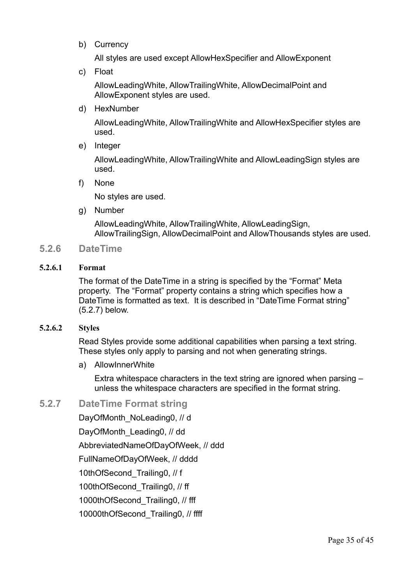b) Currency

All styles are used except AllowHexSpecifier and AllowExponent

c) Float

AllowLeadingWhite, AllowTrailingWhite, AllowDecimalPoint and AllowExponent styles are used.

d) HexNumber

AllowLeadingWhite, AllowTrailingWhite and AllowHexSpecifier styles are used.

e) Integer

AllowLeadingWhite, AllowTrailingWhite and AllowLeadingSign styles are used.

f) None

No styles are used.

g) Number

<span id="page-34-0"></span>AllowLeadingWhite, AllowTrailingWhite, AllowLeadingSign, AllowTrailingSign, AllowDecimalPoint and AllowThousands styles are used.

#### **5.2.6 DateTime**

#### **5.2.6.1 Format**

The format of the DateTime in a string is specified by the "Format" Meta property. The "Format" property contains a string which specifies how a DateTime is formatted as text. It is described in ["DateTime Format string"](#page-34-1) [\(5.2.7\)](#page-34-1) below.

#### **5.2.6.2 Styles**

Read Styles provide some additional capabilities when parsing a text string. These styles only apply to parsing and not when generating strings.

a) AllowInnerWhite

Extra whitespace characters in the text string are ignored when parsing – unless the whitespace characters are specified in the format string.

#### **5.2.7 DateTime Format string**

<span id="page-34-1"></span>DayOfMonth\_NoLeading0, // d

DayOfMonth\_Leading0, // dd

AbbreviatedNameOfDayOfWeek, // ddd

FullNameOfDayOfWeek, // dddd

10thOfSecond Trailing0, // f

100thOfSecond Trailing0, // ff

1000thOfSecond\_Trailing0, // fff

10000thOfSecond Trailing0, // ffff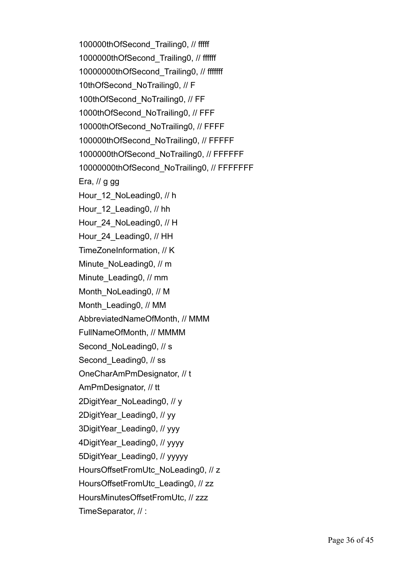100000thOfSecond\_Trailing0, // fffff 1000000thOfSecond\_Trailing0, // ffffff 10000000thOfSecond\_Trailing0, // fffffff 10thOfSecond NoTrailing0, // F 100thOfSecond\_NoTrailing0, // FF 1000thOfSecond\_NoTrailing0, // FFF 10000thOfSecond\_NoTrailing0, // FFFF 100000thOfSecond\_NoTrailing0, // FFFFF 1000000thOfSecond\_NoTrailing0, // FFFFFF 10000000thOfSecond NoTrailing0, // FFFFFFF Era,  $\theta$  g gg Hour 12 NoLeading0, // h Hour 12 Leading0, // hh Hour 24 NoLeading0, // H Hour 24 Leading0, // HH TimeZoneInformation, // K Minute\_NoLeading0, // m Minute\_Leading0, // mm Month\_NoLeading0, // M Month\_Leading0, // MM AbbreviatedNameOfMonth, // MMM FullNameOfMonth, // MMMM Second NoLeading0, // s Second Leading0, // ss OneCharAmPmDesignator, // t AmPmDesignator, // tt 2DigitYear\_NoLeading0, // y 2DigitYear\_Leading0, // yy 3DigitYear\_Leading0, // yyy 4DigitYear\_Leading0, // yyyy 5DigitYear\_Leading0, // yyyyy HoursOffsetFromUtc\_NoLeading0, // z HoursOffsetFromUtc\_Leading0, // zz HoursMinutesOffsetFromUtc, // zzz TimeSeparator, // :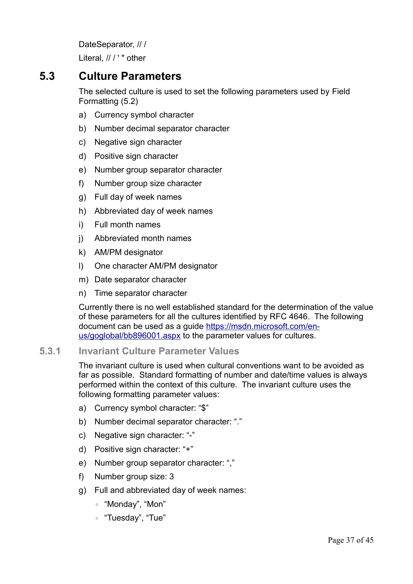DateSeparator, // / Literal, // / ' " other

# **5.3 Culture Parameters**

<span id="page-36-0"></span>The selected culture is used to set the following parameters used by [Field](#page-29-0)  [Formatting \(5.2\)](#page-29-0)

- a) Currency symbol character
- b) Number decimal separator character
- c) Negative sign character
- d) Positive sign character
- e) Number group separator character
- f) Number group size character
- g) Full day of week names
- h) Abbreviated day of week names
- i) Full month names
- j) Abbreviated month names
- k) AM/PM designator
- l) One character AM/PM designator
- m) Date separator character
- n) Time separator character

Currently there is no well established standard for the determination of the value of these parameters for all the cultures identified by RFC 4646. The following document can be used as a guide [https://msdn.microsoft.com/en](https://msdn.microsoft.com/en-us/goglobal/bb896001.aspx)[us/goglobal/bb896001.aspx](https://msdn.microsoft.com/en-us/goglobal/bb896001.aspx) to the parameter values for cultures.

#### **5.3.1 Invariant Culture Parameter Values**

<span id="page-36-1"></span>The invariant culture is used when cultural conventions want to be avoided as far as possible. Standard formatting of number and date/time values is always performed within the context of this culture. The invariant culture uses the following formatting parameter values:

- a) Currency symbol character: "\$"
- b) Number decimal separator character: "."
- c) Negative sign character: "-"
- d) Positive sign character: "+"
- e) Number group separator character: ","
- f) Number group size: 3
- g) Full and abbreviated day of week names:
	- "Monday", "Mon"
	- "Tuesday", "Tue"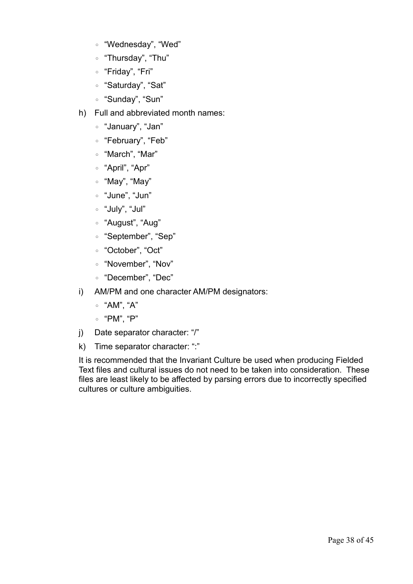- "Wednesday", "Wed"
- "Thursday", "Thu"
- "Friday", "Fri"
- "Saturday", "Sat"
- "Sunday", "Sun"
- h) Full and abbreviated month names:
	- "January", "Jan"
	- "February", "Feb"
	- "March", "Mar"
	- "April", "Apr"
	- "May", "May"
	- "June", "Jun"
	- "July", "Jul"
	- "August", "Aug"
	- "September", "Sep"
	- "October", "Oct"
	- "November", "Nov"
	- "December", "Dec"
- i) AM/PM and one character AM/PM designators:
	- "AM", "A"
	- "PM", "P"
- j) Date separator character: "/"
- k) Time separator character: ":"

It is recommended that the Invariant Culture be used when producing Fielded Text files and cultural issues do not need to be taken into consideration. These files are least likely to be affected by parsing errors due to incorrectly specified cultures or culture ambiguities.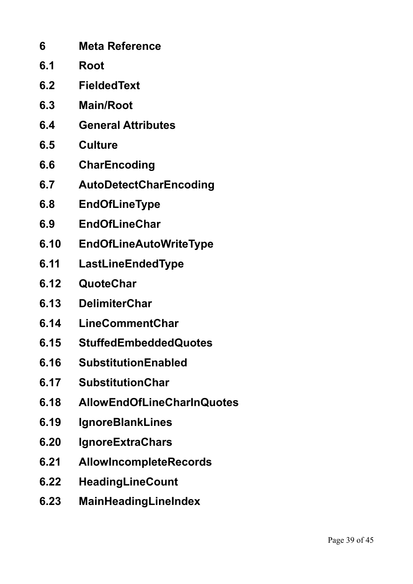| 6    | <b>Meta Reference</b>             |
|------|-----------------------------------|
| 6.1  | Root                              |
| 6.2  | <b>FieldedText</b>                |
| 6.3  | <b>Main/Root</b>                  |
| 6.4  | <b>General Attributes</b>         |
| 6.5  | <b>Culture</b>                    |
| 6.6  | <b>CharEncoding</b>               |
| 6.7  | <b>AutoDetectCharEncoding</b>     |
| 6.8  | <b>EndOfLineType</b>              |
| 6.9  | <b>EndOfLineChar</b>              |
| 6.10 | <b>EndOfLineAutoWriteType</b>     |
| 6.11 | LastLineEndedType                 |
| 6.12 | QuoteChar                         |
| 6.13 | <b>DelimiterChar</b>              |
| 6.14 | <b>LineCommentChar</b>            |
| 6.15 | <b>StuffedEmbeddedQuotes</b>      |
| 6.16 | <b>SubstitutionEnabled</b>        |
| 6.17 | <b>SubstitutionChar</b>           |
| 6.18 | <b>AllowEndOfLineCharInQuotes</b> |
| 6.19 | <b>IgnoreBlankLines</b>           |
| 6.20 | <b>IgnoreExtraChars</b>           |
| 6.21 | <b>AllowIncompleteRecords</b>     |
| 6.22 | HeadingLineCount                  |
| 6.23 | <b>MainHeadingLineIndex</b>       |
|      |                                   |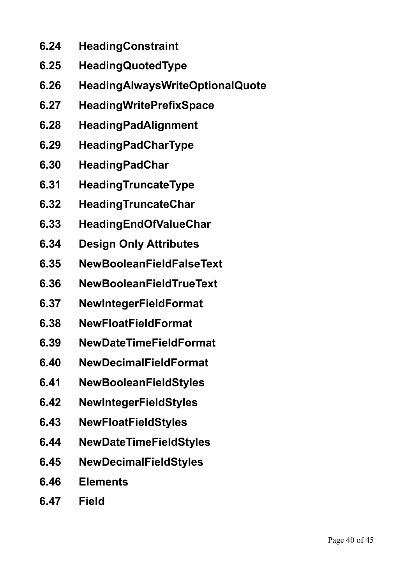- **6.24 HeadingConstraint**
- **6.25 HeadingQuotedType**
- **6.26 HeadingAlwaysWriteOptionalQuote**
- **6.27 HeadingWritePrefixSpace**
- **6.28 HeadingPadAlignment**
- **6.29 HeadingPadCharType**
- **6.30 HeadingPadChar**
- **6.31 HeadingTruncateType**
- **6.32 HeadingTruncateChar**
- **6.33 HeadingEndOfValueChar**
- **6.34 Design Only Attributes**
- **6.35 NewBooleanFieldFalseText**
- **6.36 NewBooleanFieldTrueText**
- **6.37 NewIntegerFieldFormat**
- **6.38 NewFloatFieldFormat**
- **6.39 NewDateTimeFieldFormat**
- **6.40 NewDecimalFieldFormat**
- **6.41 NewBooleanFieldStyles**
- **6.42 NewIntegerFieldStyles**
- **6.43 NewFloatFieldStyles**
- **6.44 NewDateTimeFieldStyles**
- **6.45 NewDecimalFieldStyles**
- **6.46 Elements**
- **6.47 Field**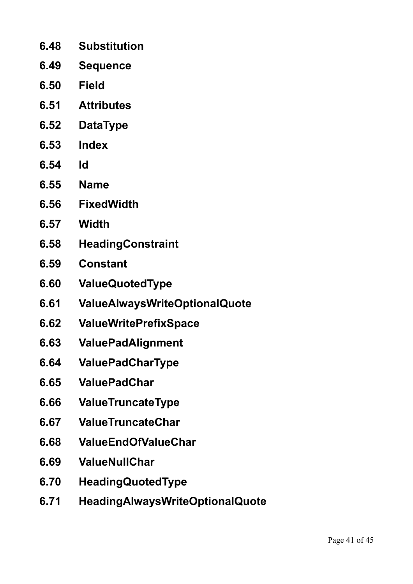- **6.48 Substitution**
- **6.49 Sequence**
- **6.50 Field**
- **6.51 Attributes**
- **6.52 DataType**
- **6.53 Index**
- **6.54 Id**
- **6.55 Name**
- **6.56 FixedWidth**
- **6.57 Width**
- **6.58 HeadingConstraint**
- **6.59 Constant**
- **6.60 ValueQuotedType**
- **6.61 ValueAlwaysWriteOptionalQuote**
- **6.62 ValueWritePrefixSpace**
- **6.63 ValuePadAlignment**
- **6.64 ValuePadCharType**
- **6.65 ValuePadChar**
- **6.66 ValueTruncateType**
- **6.67 ValueTruncateChar**
- **6.68 ValueEndOfValueChar**
- **6.69 ValueNullChar**
- **6.70 HeadingQuotedType**
- **6.71 HeadingAlwaysWriteOptionalQuote**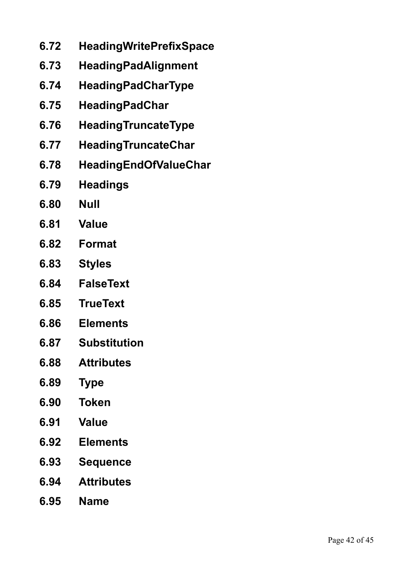- **6.72 HeadingWritePrefixSpace**
- **6.73 HeadingPadAlignment**
- **6.74 HeadingPadCharType**
- **6.75 HeadingPadChar**
- **6.76 HeadingTruncateType**
- **6.77 HeadingTruncateChar**
- **6.78 HeadingEndOfValueChar**
- **6.79 Headings**
- **6.80 Null**
- **6.81 Value**
- **6.82 Format**
- **6.83 Styles**
- **6.84 FalseText**
- **6.85 TrueText**
- **6.86 Elements**
- **6.87 Substitution**
- **6.88 Attributes**
- **6.89 Type**
- **6.90 Token**
- **6.91 Value**
- **6.92 Elements**
- **6.93 Sequence**
- **6.94 Attributes**
- **6.95 Name**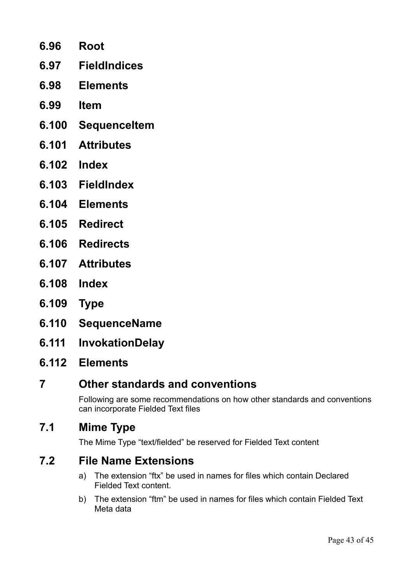- **6.96 Root 6.97 FieldIndices**
- **6.98 Elements**
- **6.99 Item**
- **6.100 SequenceItem**
- **6.101 Attributes**
- **6.102 Index**
- **6.103 FieldIndex**
- **6.104 Elements**
- **6.105 Redirect**
- **6.106 Redirects**
- **6.107 Attributes**
- **6.108 Index**
- **6.109 Type**
- **6.110 SequenceName**
- **6.111 InvokationDelay**
- **6.112 Elements**

# **7 Other standards and conventions**

Following are some recommendations on how other standards and conventions can incorporate Fielded Text files

# **7.1 Mime Type**

The Mime Type "text/fielded" be reserved for Fielded Text content

# **7.2 File Name Extensions**

- a) The extension "ftx" be used in names for files which contain Declared Fielded Text content.
- b) The extension "ftm" be used in names for files which contain Fielded Text Meta data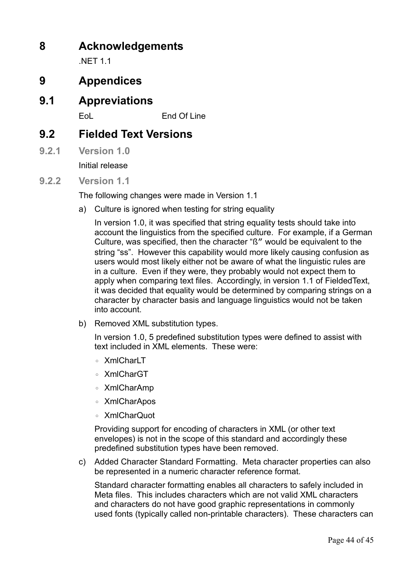# **8 Acknowledgements**

**NFT 11** 

# **9 Appendices**

**9.1 Appreviations**

EoL End Of Line

# **9.2 Fielded Text Versions**

**9.2.1 Version 1.0**

Initial release

**9.2.2 Version 1.1**

The following changes were made in Version 1.1

a) Culture is ignored when testing for string equality

In version 1.0, it was specified that string equality tests should take into account the linguistics from the specified culture. For example, if a German Culture, was specified, then the character "ß" would be equivalent to the string "ss". However this capability would more likely causing confusion as users would most likely either not be aware of what the linguistic rules are in a culture. Even if they were, they probably would not expect them to apply when comparing text files. Accordingly, in version 1.1 of FieldedText, it was decided that equality would be determined by comparing strings on a character by character basis and language linguistics would not be taken into account.

b) Removed XML substitution types.

In version 1.0, 5 predefined substitution types were defined to assist with text included in XML elements. These were:

- XmlCharLT
- XmlCharGT
- XmlCharAmp
- XmlCharApos
- XmlCharQuot

Providing support for encoding of characters in XML (or other text envelopes) is not in the scope of this standard and accordingly these predefined substitution types have been removed.

c) Added Character Standard Formatting. Meta character properties can also be represented in a numeric character reference format.

Standard character formatting enables all characters to safely included in Meta files. This includes characters which are not valid XML characters and characters do not have good graphic representations in commonly used fonts (typically called non-printable characters). These characters can